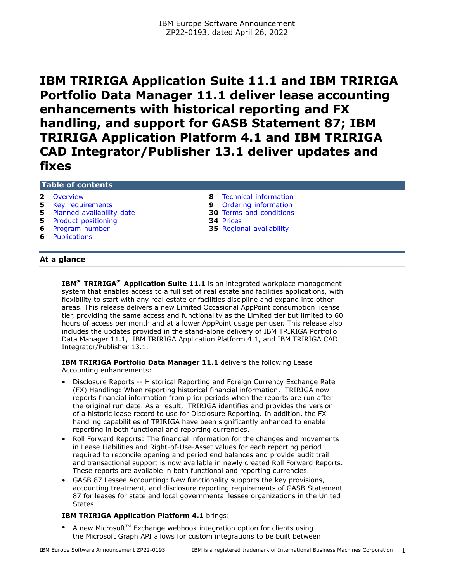**IBM TRIRIGA Application Suite 11.1 and IBM TRIRIGA Portfolio Data Manager 11.1 deliver lease accounting enhancements with historical reporting and FX handling, and support for GASB Statement 87; IBM TRIRIGA Application Platform 4.1 and IBM TRIRIGA CAD Integrator/Publisher 13.1 deliver updates and fixes**

# **Table of contents**

- 
- 
- **5** [Planned availability date](#page-4-1) **30** [Terms and conditions](#page-29-0)
- **5** [Product positioning](#page-4-2) **34** [Prices](#page-33-0)<br> **6** Program number **35** Region
- 
- **6** [Publications](#page-5-1)
- **2** [Overview](#page-1-0) **8** [Technical information](#page-7-0) **5** [Key requirements](#page-4-0) **9** [Ordering information](#page-8-0)
	-
	- **35** [Regional availability](#page-34-0)

# **At a glance**

**IBM**<sup>(R)</sup> **TRIRIGA**<sup>(R)</sup> **Application Suite 11.1** is an integrated workplace management system that enables access to a full set of real estate and facilities applications, with flexibility to start with any real estate or facilities discipline and expand into other areas. This release delivers a new Limited Occasional AppPoint consumption license tier, providing the same access and functionality as the Limited tier but limited to 60 hours of access per month and at a lower AppPoint usage per user. This release also includes the updates provided in the stand-alone delivery of IBM TRIRIGA Portfolio Data Manager 11.1, IBM TRIRIGA Application Platform 4.1, and IBM TRIRIGA CAD Integrator/Publisher 13.1.

**IBM TRIRIGA Portfolio Data Manager 11.1** delivers the following Lease Accounting enhancements:

- Disclosure Reports -- Historical Reporting and Foreign Currency Exchange Rate (FX) Handling: When reporting historical financial information, TRIRIGA now reports financial information from prior periods when the reports are run after the original run date. As a result, TRIRIGA identifies and provides the version of a historic lease record to use for Disclosure Reporting. In addition, the FX handling capabilities of TRIRIGA have been significantly enhanced to enable reporting in both functional and reporting currencies.
- Roll Forward Reports: The financial information for the changes and movements in Lease Liabilities and Right-of-Use-Asset values for each reporting period required to reconcile opening and period end balances and provide audit trail and transactional support is now available in newly created Roll Forward Reports. These reports are available in both functional and reporting currencies.
- GASB 87 Lessee Accounting: New functionality supports the key provisions, accounting treatment, and disclosure reporting requirements of GASB Statement 87 for leases for state and local governmental lessee organizations in the United States.

# **IBM TRIRIGA Application Platform 4.1** brings:

A new Microsoft<sup>™</sup> Exchange webhook integration option for clients using the Microsoft Graph API allows for custom integrations to be built between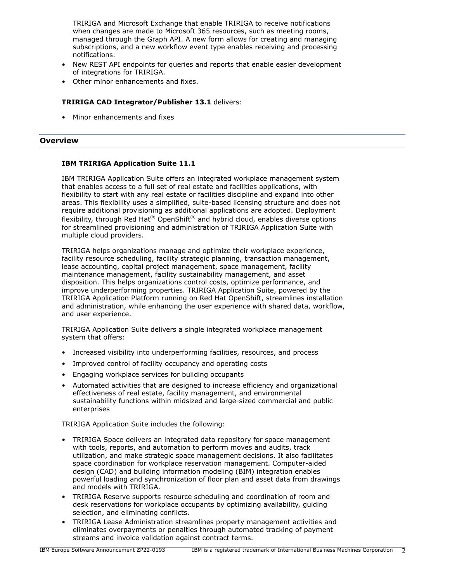TRIRIGA and Microsoft Exchange that enable TRIRIGA to receive notifications when changes are made to Microsoft 365 resources, such as meeting rooms, managed through the Graph API. A new form allows for creating and managing subscriptions, and a new workflow event type enables receiving and processing notifications.

- New REST API endpoints for queries and reports that enable easier development of integrations for TRIRIGA.
- Other minor enhancements and fixes.

# **TRIRIGA CAD Integrator/Publisher 13.1** delivers:

• Minor enhancements and fixes

### <span id="page-1-0"></span>**Overview**

# **IBM TRIRIGA Application Suite 11.1**

IBM TRIRIGA Application Suite offers an integrated workplace management system that enables access to a full set of real estate and facilities applications, with flexibility to start with any real estate or facilities discipline and expand into other areas. This flexibility uses a simplified, suite-based licensing structure and does not require additional provisioning as additional applications are adopted. Deployment flexibility, through Red Hat<sup>(R)</sup> OpenShift<sup>(R)</sup> and hybrid cloud, enables diverse options for streamlined provisioning and administration of TRIRIGA Application Suite with multiple cloud providers.

TRIRIGA helps organizations manage and optimize their workplace experience, facility resource scheduling, facility strategic planning, transaction management, lease accounting, capital project management, space management, facility maintenance management, facility sustainability management, and asset disposition. This helps organizations control costs, optimize performance, and improve underperforming properties. TRIRIGA Application Suite, powered by the TRIRIGA Application Platform running on Red Hat OpenShift, streamlines installation and administration, while enhancing the user experience with shared data, workflow, and user experience.

TRIRIGA Application Suite delivers a single integrated workplace management system that offers:

- Increased visibility into underperforming facilities, resources, and process
- Improved control of facility occupancy and operating costs
- Engaging workplace services for building occupants
- Automated activities that are designed to increase efficiency and organizational effectiveness of real estate, facility management, and environmental sustainability functions within midsized and large-sized commercial and public enterprises

TRIRIGA Application Suite includes the following:

- TRIRIGA Space delivers an integrated data repository for space management with tools, reports, and automation to perform moves and audits, track utilization, and make strategic space management decisions. It also facilitates space coordination for workplace reservation management. Computer-aided design (CAD) and building information modeling (BIM) integration enables powerful loading and synchronization of floor plan and asset data from drawings and models with TRIRIGA.
- TRIRIGA Reserve supports resource scheduling and coordination of room and desk reservations for workplace occupants by optimizing availability, guiding selection, and eliminating conflicts.
- TRIRIGA Lease Administration streamlines property management activities and eliminates overpayments or penalties through automated tracking of payment streams and invoice validation against contract terms.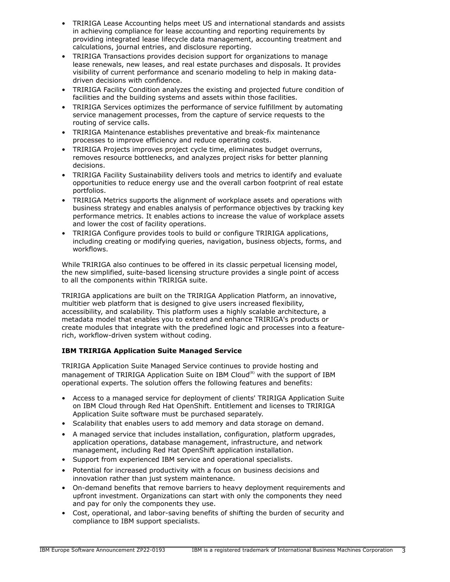- TRIRIGA Lease Accounting helps meet US and international standards and assists in achieving compliance for lease accounting and reporting requirements by providing integrated lease lifecycle data management, accounting treatment and calculations, journal entries, and disclosure reporting.
- TRIRIGA Transactions provides decision support for organizations to manage lease renewals, new leases, and real estate purchases and disposals. It provides visibility of current performance and scenario modeling to help in making datadriven decisions with confidence.
- TRIRIGA Facility Condition analyzes the existing and projected future condition of facilities and the building systems and assets within those facilities.
- TRIRIGA Services optimizes the performance of service fulfillment by automating service management processes, from the capture of service requests to the routing of service calls.
- TRIRIGA Maintenance establishes preventative and break-fix maintenance processes to improve efficiency and reduce operating costs.
- TRIRIGA Projects improves project cycle time, eliminates budget overruns, removes resource bottlenecks, and analyzes project risks for better planning decisions.
- TRIRIGA Facility Sustainability delivers tools and metrics to identify and evaluate opportunities to reduce energy use and the overall carbon footprint of real estate portfolios.
- TRIRIGA Metrics supports the alignment of workplace assets and operations with business strategy and enables analysis of performance objectives by tracking key performance metrics. It enables actions to increase the value of workplace assets and lower the cost of facility operations.
- TRIRIGA Configure provides tools to build or configure TRIRIGA applications, including creating or modifying queries, navigation, business objects, forms, and workflows.

While TRIRIGA also continues to be offered in its classic perpetual licensing model, the new simplified, suite-based licensing structure provides a single point of access to all the components within TRIRIGA suite.

TRIRIGA applications are built on the TRIRIGA Application Platform, an innovative, multitier web platform that is designed to give users increased flexibility, accessibility, and scalability. This platform uses a highly scalable architecture, a metadata model that enables you to extend and enhance TRIRIGA's products or create modules that integrate with the predefined logic and processes into a featurerich, workflow-driven system without coding.

# **IBM TRIRIGA Application Suite Managed Service**

TRIRIGA Application Suite Managed Service continues to provide hosting and management of TRIRIGA Application Suite on IBM Cloud $<sup>(R)</sup>$  with the support of IBM</sup> operational experts. The solution offers the following features and benefits:

- Access to a managed service for deployment of clients' TRIRIGA Application Suite on IBM Cloud through Red Hat OpenShift. Entitlement and licenses to TRIRIGA Application Suite software must be purchased separately.
- Scalability that enables users to add memory and data storage on demand.
- A managed service that includes installation, configuration, platform upgrades, application operations, database management, infrastructure, and network management, including Red Hat OpenShift application installation.
- Support from experienced IBM service and operational specialists.
- Potential for increased productivity with a focus on business decisions and innovation rather than just system maintenance.
- On-demand benefits that remove barriers to heavy deployment requirements and upfront investment. Organizations can start with only the components they need and pay for only the components they use.
- Cost, operational, and labor-saving benefits of shifting the burden of security and compliance to IBM support specialists.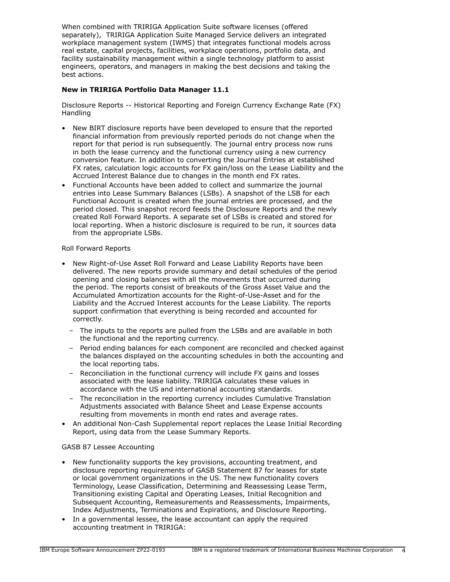When combined with TRIRIGA Application Suite software licenses (offered separately), TRIRIGA Application Suite Managed Service delivers an integrated workplace management system (IWMS) that integrates functional models across real estate, capital projects, facilities, workplace operations, portfolio data, and facility sustainability management within a single technology platform to assist engineers, operators, and managers in making the best decisions and taking the best actions.

# **New in TRIRIGA Portfolio Data Manager 11.1**

Disclosure Reports -- Historical Reporting and Foreign Currency Exchange Rate (FX) Handling

- New BIRT disclosure reports have been developed to ensure that the reported financial information from previously reported periods do not change when the report for that period is run subsequently. The journal entry process now runs in both the lease currency and the functional currency using a new currency conversion feature. In addition to converting the Journal Entries at established FX rates, calculation logic accounts for FX gain/loss on the Lease Liability and the Accrued Interest Balance due to changes in the month end FX rates.
- Functional Accounts have been added to collect and summarize the journal entries into Lease Summary Balances (LSBs). A snapshot of the LSB for each Functional Account is created when the journal entries are processed, and the period closed. This snapshot record feeds the Disclosure Reports and the newly created Roll Forward Reports. A separate set of LSBs is created and stored for local reporting. When a historic disclosure is required to be run, it sources data from the appropriate LSBs.

### Roll Forward Reports

- New Right-of-Use Asset Roll Forward and Lease Liability Reports have been delivered. The new reports provide summary and detail schedules of the period opening and closing balances with all the movements that occurred during the period. The reports consist of breakouts of the Gross Asset Value and the Accumulated Amortization accounts for the Right-of-Use-Asset and for the Liability and the Accrued Interest accounts for the Lease Liability. The reports support confirmation that everything is being recorded and accounted for correctly.
	- The inputs to the reports are pulled from the LSBs and are available in both the functional and the reporting currency.
	- Period ending balances for each component are reconciled and checked against the balances displayed on the accounting schedules in both the accounting and the local reporting tabs.
	- Reconciliation in the functional currency will include FX gains and losses associated with the lease liability. TRIRIGA calculates these values in accordance with the US and international accounting standards.
	- The reconciliation in the reporting currency includes Cumulative Translation Adjustments associated with Balance Sheet and Lease Expense accounts resulting from movements in month end rates and average rates.
- An additional Non-Cash Supplemental report replaces the Lease Initial Recording Report, using data from the Lease Summary Reports.

# GASB 87 Lessee Accounting

- New functionality supports the key provisions, accounting treatment, and disclosure reporting requirements of GASB Statement 87 for leases for state or local government organizations in the US. The new functionality covers Terminology, Lease Classification, Determining and Reassessing Lease Term, Transitioning existing Capital and Operating Leases, Initial Recognition and Subsequent Accounting, Remeasurements and Reassessments, Impairments, Index Adjustments, Terminations and Expirations, and Disclosure Reporting.
- In a governmental lessee, the lease accountant can apply the required accounting treatment in TRIRIGA: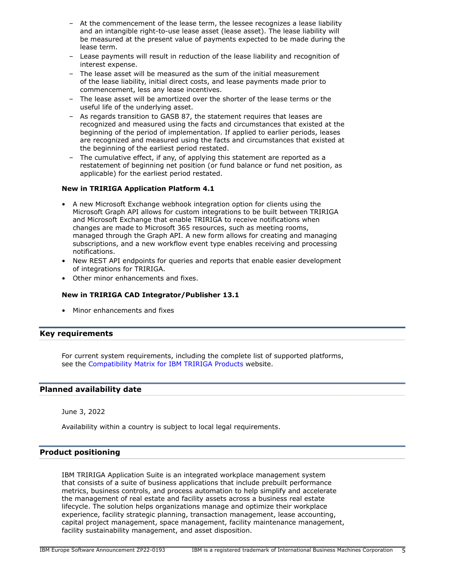- At the commencement of the lease term, the lessee recognizes a lease liability and an intangible right-to-use lease asset (lease asset). The lease liability will be measured at the present value of payments expected to be made during the lease term.
- Lease payments will result in reduction of the lease liability and recognition of interest expense.
- The lease asset will be measured as the sum of the initial measurement of the lease liability, initial direct costs, and lease payments made prior to commencement, less any lease incentives.
- The lease asset will be amortized over the shorter of the lease terms or the useful life of the underlying asset.
- As regards transition to GASB 87, the statement requires that leases are recognized and measured using the facts and circumstances that existed at the beginning of the period of implementation. If applied to earlier periods, leases are recognized and measured using the facts and circumstances that existed at the beginning of the earliest period restated.
- The cumulative effect, if any, of applying this statement are reported as a restatement of beginning net position (or fund balance or fund net position, as applicable) for the earliest period restated.

# **New in TRIRIGA Application Platform 4.1**

- A new Microsoft Exchange webhook integration option for clients using the Microsoft Graph API allows for custom integrations to be built between TRIRIGA and Microsoft Exchange that enable TRIRIGA to receive notifications when changes are made to Microsoft 365 resources, such as meeting rooms, managed through the Graph API. A new form allows for creating and managing subscriptions, and a new workflow event type enables receiving and processing notifications.
- New REST API endpoints for queries and reports that enable easier development of integrations for TRIRIGA.
- Other minor enhancements and fixes.

# **New in TRIRIGA CAD Integrator/Publisher 13.1**

• Minor enhancements and fixes

# <span id="page-4-0"></span>**Key requirements**

For current system requirements, including the complete list of supported platforms, see the [Compatibility Matrix for IBM TRIRIGA Products](https://www.ibm.com/support/pages/node/1283650) website.

# <span id="page-4-1"></span>**Planned availability date**

June 3, 2022

Availability within a country is subject to local legal requirements.

# <span id="page-4-2"></span>**Product positioning**

IBM TRIRIGA Application Suite is an integrated workplace management system that consists of a suite of business applications that include prebuilt performance metrics, business controls, and process automation to help simplify and accelerate the management of real estate and facility assets across a business real estate lifecycle. The solution helps organizations manage and optimize their workplace experience, facility strategic planning, transaction management, lease accounting, capital project management, space management, facility maintenance management, facility sustainability management, and asset disposition.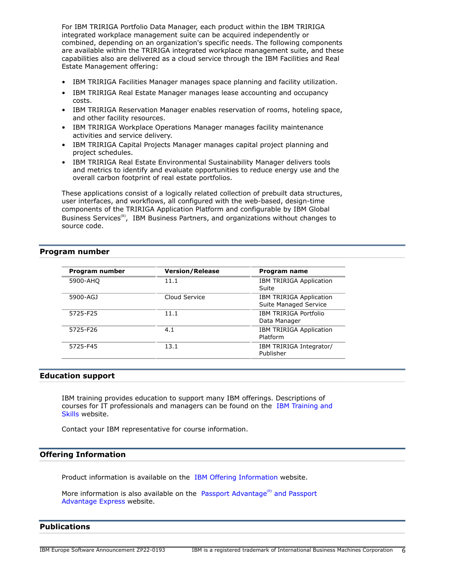For IBM TRIRIGA Portfolio Data Manager, each product within the IBM TRIRIGA integrated workplace management suite can be acquired independently or combined, depending on an organization's specific needs. The following components are available within the TRIRIGA integrated workplace management suite, and these capabilities also are delivered as a cloud service through the IBM Facilities and Real Estate Management offering:

- IBM TRIRIGA Facilities Manager manages space planning and facility utilization.
- IBM TRIRIGA Real Estate Manager manages lease accounting and occupancy costs.
- IBM TRIRIGA Reservation Manager enables reservation of rooms, hoteling space, and other facility resources.
- IBM TRIRIGA Workplace Operations Manager manages facility maintenance activities and service delivery.
- IBM TRIRIGA Capital Projects Manager manages capital project planning and project schedules.
- IBM TRIRIGA Real Estate Environmental Sustainability Manager delivers tools and metrics to identify and evaluate opportunities to reduce energy use and the overall carbon footprint of real estate portfolios.

These applications consist of a logically related collection of prebuilt data structures, user interfaces, and workflows, all configured with the web-based, design-time components of the TRIRIGA Application Platform and configurable by IBM Global Business Services<sup>(R)</sup>, IBM Business Partners, and organizations without changes to source code.

# <span id="page-5-0"></span>**Program number**

| Program number | <b>Version/Release</b> | Program name                                            |
|----------------|------------------------|---------------------------------------------------------|
| 5900-AHQ       | 11.1                   | IBM TRIRIGA Application<br>Suite                        |
| 5900-AGJ       | Cloud Service          | <b>IBM TRIRIGA Application</b><br>Suite Managed Service |
| 5725-F25       | 11.1                   | IBM TRIRIGA Portfolio<br>Data Manager                   |
| 5725-F26       | 4.1                    | <b>IBM TRIRIGA Application</b><br>Platform              |
| 5725-F45       | 13.1                   | IBM TRIRIGA Integrator/<br>Publisher                    |

### **Education support**

IBM training provides education to support many IBM offerings. Descriptions of courses for IT professionals and managers can be found on the [IBM Training and](http://www.ibm.com/services/learning/) [Skills](http://www.ibm.com/services/learning/) website.

Contact your IBM representative for course information.

### **Offering Information**

Product information is available on the [IBM Offering Information](http://www.ibm.com/common/ssi) website.

More information is also available on the [Passport Advantage](http://www.ibm.com/software/passportadvantage) $<sup>(R)</sup>$  and Passport</sup> [Advantage Express](http://www.ibm.com/software/passportadvantage) website.

# <span id="page-5-1"></span>**Publications**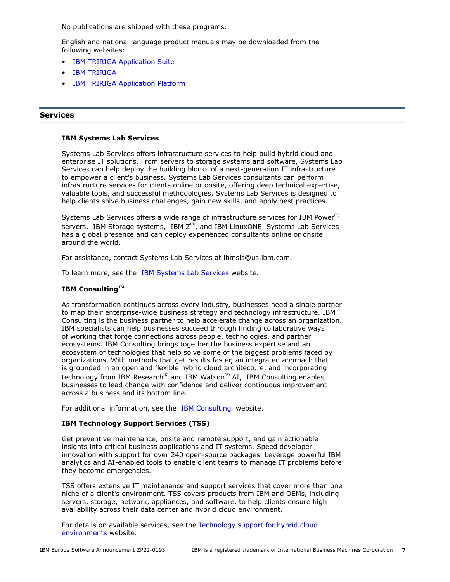No publications are shipped with these programs.

English and national language product manuals may be downloaded from the following websites:

- **[IBM TRIRIGA Application Suite](https://www.ibm.com/docs/en/tas)**
- [IBM TRIRIGA](https://www.ibm.com/docs/en/tririga)
- [IBM TRIRIGA Application Platform](https://www.ibm.com/docs/en/tap)

# **Services**

### **IBM Systems Lab Services**

Systems Lab Services offers infrastructure services to help build hybrid cloud and enterprise IT solutions. From servers to storage systems and software, Systems Lab Services can help deploy the building blocks of a next-generation IT infrastructure to empower a client's business. Systems Lab Services consultants can perform infrastructure services for clients online or onsite, offering deep technical expertise, valuable tools, and successful methodologies. Systems Lab Services is designed to help clients solve business challenges, gain new skills, and apply best practices.

Systems Lab Services offers a wide range of infrastructure services for IBM Power $R$ ) servers, IBM Storage systems, IBM  $Z^{(R)}$ , and IBM LinuxONE. Systems Lab Services has a global presence and can deploy experienced consultants online or onsite around the world.

For assistance, contact Systems Lab Services at ibmsls@us.ibm.com.

To learn more, see the [IBM Systems Lab Services](https://www.ibm.com/it-infrastructure/services/lab-services) website.

### **IBM ConsultingTM**

As transformation continues across every industry, businesses need a single partner to map their enterprise-wide business strategy and technology infrastructure. IBM Consulting is the business partner to help accelerate change across an organization. IBM specialists can help businesses succeed through finding collaborative ways of working that forge connections across people, technologies, and partner ecosystems. IBM Consulting brings together the business expertise and an ecosystem of technologies that help solve some of the biggest problems faced by organizations. With methods that get results faster, an integrated approach that is grounded in an open and flexible hybrid cloud architecture, and incorporating technology from IBM Research<sup>(R)</sup> and IBM Watson<sup>(R)</sup> AI, IBM Consulting enables businesses to lead change with confidence and deliver continuous improvement across a business and its bottom line.

For additional information, see the [IBM Consulting](https://www.ibm.com/consulting) website.

### **IBM Technology Support Services (TSS)**

Get preventive maintenance, onsite and remote support, and gain actionable insights into critical business applications and IT systems. Speed developer innovation with support for over 240 open-source packages. Leverage powerful IBM analytics and AI-enabled tools to enable client teams to manage IT problems before they become emergencies.

TSS offers extensive IT maintenance and support services that cover more than one niche of a client's environment. TSS covers products from IBM and OEMs, including servers, storage, network, appliances, and software, to help clients ensure high availability across their data center and hybrid cloud environment.

For details on available services, see the [Technology support for hybrid cloud](https://www.ibm.com/services/technology-support) [environments](https://www.ibm.com/services/technology-support) website.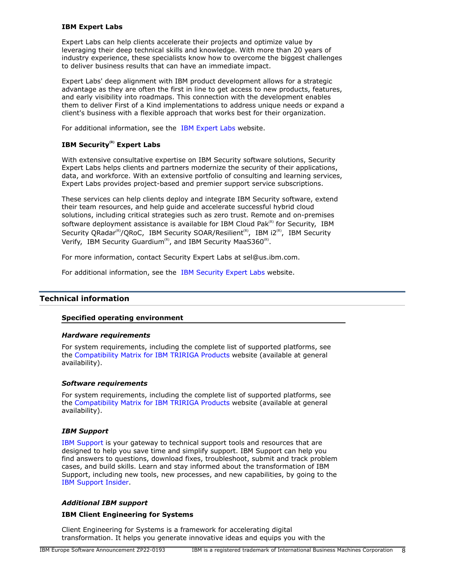### **IBM Expert Labs**

Expert Labs can help clients accelerate their projects and optimize value by leveraging their deep technical skills and knowledge. With more than 20 years of industry experience, these specialists know how to overcome the biggest challenges to deliver business results that can have an immediate impact.

Expert Labs' deep alignment with IBM product development allows for a strategic advantage as they are often the first in line to get access to new products, features, and early visibility into roadmaps. This connection with the development enables them to deliver First of a Kind implementations to address unique needs or expand a client's business with a flexible approach that works best for their organization.

For additional information, see the [IBM Expert Labs](https://www.ibm.com/products/expertlabs) website.

# **IBM Security(R) Expert Labs**

With extensive consultative expertise on IBM Security software solutions, Security Expert Labs helps clients and partners modernize the security of their applications, data, and workforce. With an extensive portfolio of consulting and learning services, Expert Labs provides project-based and premier support service subscriptions.

These services can help clients deploy and integrate IBM Security software, extend their team resources, and help guide and accelerate successful hybrid cloud solutions, including critical strategies such as zero trust. Remote and on-premises software deployment assistance is available for IBM Cloud Pak $R<sup>(R)</sup>$  for Security, IBM Security QRadar<sup>(R)</sup>/QRoC, IBM Security SOAR/Resilient<sup>(R)</sup>, IBM i2<sup>(R)</sup>, IBM Security Verify, IBM Security Guardium<sup>(R)</sup>, and IBM Security MaaS360<sup>(R)</sup>.

For more information, contact Security Expert Labs at sel@us.ibm.com.

For additional information, see the [IBM Security Expert Labs](https://www.ibm.com/security/security-expert-labs) website.

# <span id="page-7-0"></span>**Technical information**

### **Specified operating environment**

### *Hardware requirements*

For system requirements, including the complete list of supported platforms, see the [Compatibility Matrix for IBM TRIRIGA Products](https://www.ibm.com/support/pages/node/1283650) website (available at general availability).

### *Software requirements*

For system requirements, including the complete list of supported platforms, see the [Compatibility Matrix for IBM TRIRIGA Products](https://www.ibm.com/support/pages/node/1283650) website (available at general availability).

### *IBM Support*

[IBM Support](https://www.ibm.com/support) is your gateway to technical support tools and resources that are designed to help you save time and simplify support. IBM Support can help you find answers to questions, download fixes, troubleshoot, submit and track problem cases, and build skills. Learn and stay informed about the transformation of IBM Support, including new tools, new processes, and new capabilities, by going to the [IBM Support Insider](https://www.ibm.com/support/insider).

### *Additional IBM support*

### **IBM Client Engineering for Systems**

Client Engineering for Systems is a framework for accelerating digital transformation. It helps you generate innovative ideas and equips you with the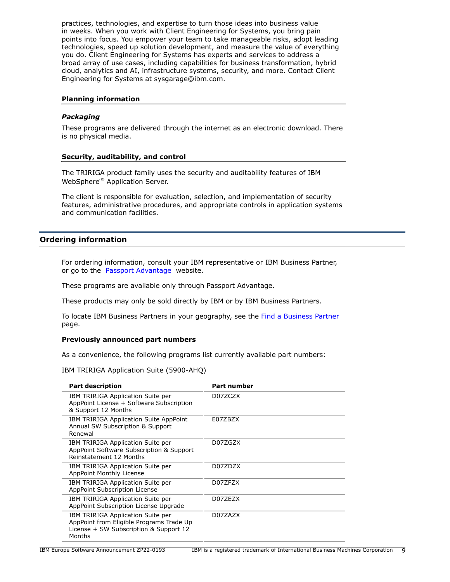practices, technologies, and expertise to turn those ideas into business value in weeks. When you work with Client Engineering for Systems, you bring pain points into focus. You empower your team to take manageable risks, adopt leading technologies, speed up solution development, and measure the value of everything you do. Client Engineering for Systems has experts and services to address a broad array of use cases, including capabilities for business transformation, hybrid cloud, analytics and AI, infrastructure systems, security, and more. Contact Client Engineering for Systems at sysgarage@ibm.com.

### **Planning information**

### *Packaging*

These programs are delivered through the internet as an electronic download. There is no physical media.

### **Security, auditability, and control**

The TRIRIGA product family uses the security and auditability features of IBM WebSphere<sup>(R)</sup> Application Server.

The client is responsible for evaluation, selection, and implementation of security features, administrative procedures, and appropriate controls in application systems and communication facilities.

# <span id="page-8-0"></span>**Ordering information**

For ordering information, consult your IBM representative or IBM Business Partner, or go to the [Passport Advantage](https://www.ibm.com/software/passportadvantage/) website.

These programs are available only through Passport Advantage.

These products may only be sold directly by IBM or by IBM Business Partners.

To locate IBM Business Partners in your geography, see the [Find a Business Partner](http://www.ibm.com/partnerworld/wps/bplocator/) page.

### **Previously announced part numbers**

As a convenience, the following programs list currently available part numbers:

IBM TRIRIGA Application Suite (5900-AHQ)

| <b>Part description</b>                                                                                                           | <b>Part number</b> |
|-----------------------------------------------------------------------------------------------------------------------------------|--------------------|
| IBM TRIRIGA Application Suite per<br>AppPoint License + Software Subscription<br>& Support 12 Months                              | D07ZCZX            |
| IBM TRIRIGA Application Suite AppPoint<br>Annual SW Subscription & Support<br>Renewal                                             | F077B7X            |
| IBM TRIRIGA Application Suite per<br>AppPoint Software Subscription & Support<br>Reinstatement 12 Months                          | D07ZGZX            |
| IBM TRIRIGA Application Suite per<br>AppPoint Monthly License                                                                     | D077D7X            |
| IBM TRIRIGA Application Suite per<br>AppPoint Subscription License                                                                | D07ZFZX            |
| IBM TRIRIGA Application Suite per<br>AppPoint Subscription License Upgrade                                                        | D07ZEZX            |
| IBM TRIRIGA Application Suite per<br>AppPoint from Eligible Programs Trade Up<br>License + SW Subscription & Support 12<br>Months | D07ZAZX            |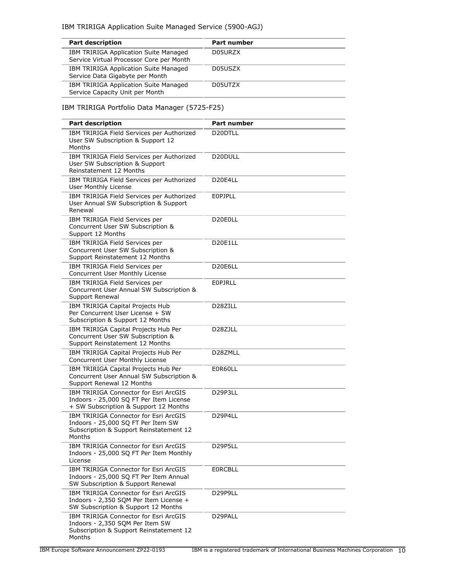| <b>Part description</b>                                                           | Part number |
|-----------------------------------------------------------------------------------|-------------|
| IBM TRIRIGA Application Suite Managed<br>Service Virtual Processor Core per Month | D05URZX     |
| IBM TRIRIGA Application Suite Managed<br>Service Data Gigabyte per Month          | D05USZX     |
| IBM TRIRIGA Application Suite Managed<br>Service Capacity Unit per Month          | D05UTZX     |

# IBM TRIRIGA Portfolio Data Manager (5725-F25)

| <b>Part description</b>                                                                                                          | <b>Part number</b>               |
|----------------------------------------------------------------------------------------------------------------------------------|----------------------------------|
| IBM TRIRIGA Field Services per Authorized<br>User SW Subscription & Support 12<br>Months                                         | D <sub>20</sub> DTLL             |
| IBM TRIRIGA Field Services per Authorized<br>User SW Subscription & Support<br>Reinstatement 12 Months                           | D <sub>20</sub> DULL             |
| IBM TRIRIGA Field Services per Authorized<br><b>User Monthly License</b>                                                         | D <sub>20</sub> E4LL             |
| IBM TRIRIGA Field Services per Authorized<br>User Annual SW Subscription & Support<br>Renewal                                    | <b>EOPJPLL</b>                   |
| IBM TRIRIGA Field Services per<br>Concurrent User SW Subscription &<br>Support 12 Months                                         | D <sub>20</sub> E <sub>0LL</sub> |
| IBM TRIRIGA Field Services per<br>Concurrent User SW Subscription &<br>Support Reinstatement 12 Months                           | D20E1LL                          |
| IBM TRIRIGA Field Services per<br>Concurrent User Monthly License                                                                | D20E6LL                          |
| IBM TRIRIGA Field Services per<br>Concurrent User Annual SW Subscription &<br>Support Renewal                                    | EOPJRLL                          |
| IBM TRIRIGA Capital Projects Hub<br>Per Concurrent User License + SW<br>Subscription & Support 12 Months                         | D28ZILL                          |
| IBM TRIRIGA Capital Projects Hub Per<br>Concurrent User SW Subscription &<br>Support Reinstatement 12 Months                     | D <sub>28</sub> ZJLL             |
| IBM TRIRIGA Capital Projects Hub Per<br>Concurrent User Monthly License                                                          | D28ZMLL                          |
| IBM TRIRIGA Capital Projects Hub Per<br>Concurrent User Annual SW Subscription &<br>Support Renewal 12 Months                    | E0R60LL                          |
| IBM TRIRIGA Connector for Esri ArcGIS<br>Indoors - 25,000 SQ FT Per Item License<br>+ SW Subscription & Support 12 Months        | D29P3LL                          |
| IBM TRIRIGA Connector for Esri ArcGIS<br>Indoors - 25,000 SQ FT Per Item SW<br>Subscription & Support Reinstatement 12<br>Months | D29P4LL                          |
| IBM TRIRIGA Connector for Esri ArcGIS<br>Indoors - 25,000 SQ FT Per Item Monthly<br>License                                      | D29P5LL                          |
| IBM TRIRIGA Connector for Esri ArcGIS<br>Indoors - 25,000 SQ FT Per Item Annual<br>SW Subscription & Support Renewal             | <b>EORCBLL</b>                   |
| IBM TRIRIGA Connector for Esri ArcGIS<br>Indoors - 2,350 SQM Per Item License +<br>SW Subscription & Support 12 Months           | D29P9LL                          |
| IBM TRIRIGA Connector for Esri ArcGIS<br>Indoors - 2,350 SQM Per Item SW<br>Subscription & Support Reinstatement 12<br>Months    | D29PALL                          |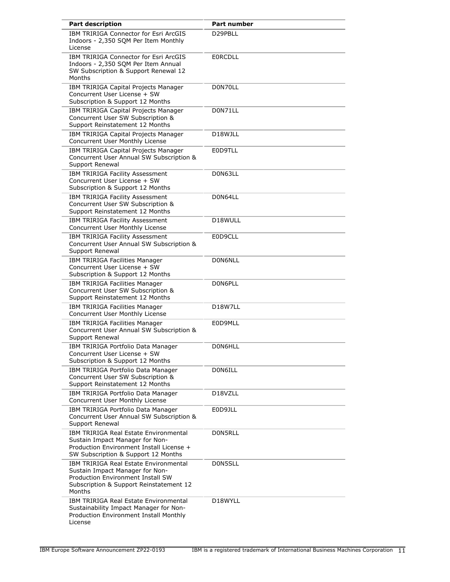| <b>Part description</b>                                                                                                                                                   | Part number                      |
|---------------------------------------------------------------------------------------------------------------------------------------------------------------------------|----------------------------------|
| IBM TRIRIGA Connector for Esri ArcGIS<br>Indoors - 2,350 SQM Per Item Monthly<br>License                                                                                  | D29PBLL                          |
| IBM TRIRIGA Connector for Esri ArcGIS<br>Indoors - 2,350 SQM Per Item Annual<br>SW Subscription & Support Renewal 12<br>Months                                            | <b>EORCDLL</b>                   |
| IBM TRIRIGA Capital Projects Manager<br>Concurrent User License + SW<br>Subscription & Support 12 Months                                                                  | D0N70LL                          |
| IBM TRIRIGA Capital Projects Manager<br>Concurrent User SW Subscription &<br>Support Reinstatement 12 Months                                                              | D0N71LL                          |
| IBM TRIRIGA Capital Projects Manager<br>Concurrent User Monthly License                                                                                                   | D18WJLL                          |
| IBM TRIRIGA Capital Projects Manager<br>Concurrent User Annual SW Subscription &<br>Support Renewal                                                                       | E0D9TLL                          |
| IBM TRIRIGA Facility Assessment<br>Concurrent User License + SW<br>Subscription & Support 12 Months                                                                       | D0N63LL                          |
| IBM TRIRIGA Facility Assessment<br>Concurrent User SW Subscription &<br>Support Reinstatement 12 Months                                                                   | D0N64LL                          |
| IBM TRIRIGA Facility Assessment<br>Concurrent User Monthly License                                                                                                        | D18WULL                          |
| IBM TRIRIGA Facility Assessment<br>Concurrent User Annual SW Subscription &<br>Support Renewal                                                                            | E0D9CLL                          |
| IBM TRIRIGA Facilities Manager<br>Concurrent User License + SW<br>Subscription & Support 12 Months                                                                        | D0N6NLL                          |
| IBM TRIRIGA Facilities Manager<br>Concurrent User SW Subscription &<br>Support Reinstatement 12 Months                                                                    | D0N6PLL                          |
| IBM TRIRIGA Facilities Manager<br>Concurrent User Monthly License                                                                                                         | D18W7LL                          |
| IBM TRIRIGA Facilities Manager<br>Concurrent User Annual SW Subscription &<br>Support Renewal                                                                             | E0D9MLL                          |
| IBM TRIRIGA Portfolio Data Manager<br>Concurrent User License + SW<br>Subscription & Support 12 Months                                                                    | D0N6HLL                          |
| IBM TRIRIGA Portfolio Data Manager<br>Concurrent User SW Subscription &<br>Support Reinstatement 12 Months                                                                | D0N6ILL                          |
| IBM TRIRIGA Portfolio Data Manager<br>Concurrent User Monthly License                                                                                                     | D <sub>18</sub> V <sub>ZLL</sub> |
| IBM TRIRIGA Portfolio Data Manager<br>Concurrent User Annual SW Subscription &<br>Support Renewal                                                                         | E0D9JLL                          |
| IBM TRIRIGA Real Estate Environmental<br>Sustain Impact Manager for Non-<br>Production Environment Install License +<br>SW Subscription & Support 12 Months               | D0N5RLL                          |
| <b>IBM TRIRIGA Real Estate Environmental</b><br>Sustain Impact Manager for Non-<br>Production Environment Install SW<br>Subscription & Support Reinstatement 12<br>Months | D0N5SLL                          |
| <b>IBM TRIRIGA Real Estate Environmental</b><br>Sustainability Impact Manager for Non-<br>Production Environment Install Monthly<br>License                               | D18WYLL                          |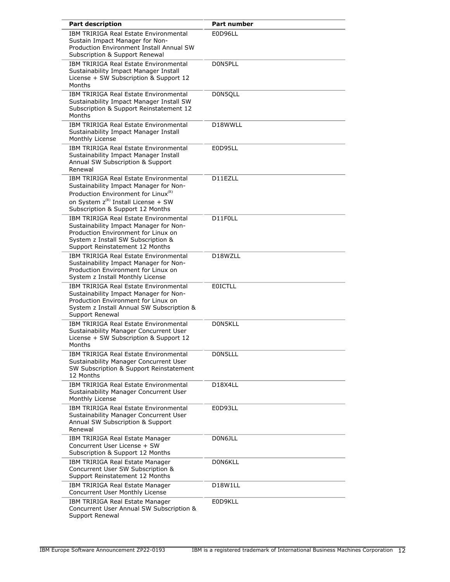| <b>Part description</b>                                                                                                                                                                                                   | <b>Part number</b>                |
|---------------------------------------------------------------------------------------------------------------------------------------------------------------------------------------------------------------------------|-----------------------------------|
| IBM TRIRIGA Real Estate Environmental<br>Sustain Impact Manager for Non-<br>Production Environment Install Annual SW<br>Subscription & Support Renewal                                                                    | E0D96LL                           |
| <b>IBM TRIRIGA Real Estate Environmental</b><br>Sustainability Impact Manager Install<br>License + SW Subscription & Support 12<br>Months                                                                                 | D0N5PLL                           |
| <b>IBM TRIRIGA Real Estate Environmental</b><br>Sustainability Impact Manager Install SW<br>Subscription & Support Reinstatement 12<br>Months                                                                             | D0N5QLL                           |
| <b>IBM TRIRIGA Real Estate Environmental</b><br>Sustainability Impact Manager Install<br>Monthly License                                                                                                                  | D18WWLL                           |
| IBM TRIRIGA Real Estate Environmental<br>Sustainability Impact Manager Install<br>Annual SW Subscription & Support<br>Renewal                                                                                             | E0D95LL                           |
| <b>IBM TRIRIGA Real Estate Environmental</b><br>Sustainability Impact Manager for Non-<br>Production Environment for Linux <sup>(R)</sup><br>on System $z^{(R)}$ Install License + SW<br>Subscription & Support 12 Months | D11EZLL                           |
| IBM TRIRIGA Real Estate Environmental<br>Sustainability Impact Manager for Non-<br>Production Environment for Linux on<br>System z Install SW Subscription &<br>Support Reinstatement 12 Months                           | D11F0LL                           |
| <b>IBM TRIRIGA Real Estate Environmental</b><br>Sustainability Impact Manager for Non-<br>Production Environment for Linux on<br>System z Install Monthly License                                                         | D18WZLL                           |
| IBM TRIRIGA Real Estate Environmental<br>Sustainability Impact Manager for Non-<br>Production Environment for Linux on<br>System z Install Annual SW Subscription &<br>Support Renewal                                    | <b>EOICTLL</b>                    |
| <b>IBM TRIRIGA Real Estate Environmental</b><br>Sustainability Manager Concurrent User<br>License + SW Subscription & Support 12<br>Months                                                                                | D0N5KLL                           |
| <b>IBM TRIRIGA Real Estate Environmental</b><br>Sustainability Manager Concurrent User<br>SW Subscription & Support Reinstatement<br>12 Months                                                                            | D0N5LLL                           |
| <b>IBM TRIRIGA Real Estate Environmental</b><br>Sustainability Manager Concurrent User<br>Monthly License                                                                                                                 | D <sub>18</sub> X <sub>4</sub> LL |
| IBM TRIRIGA Real Estate Environmental<br>Sustainability Manager Concurrent User<br>Annual SW Subscription & Support<br>Renewal                                                                                            | E0D93LL                           |
| IBM TRIRIGA Real Estate Manager<br>Concurrent User License + SW<br>Subscription & Support 12 Months                                                                                                                       | D0N6JLL                           |
| IBM TRIRIGA Real Estate Manager<br>Concurrent User SW Subscription &<br>Support Reinstatement 12 Months                                                                                                                   | D0N6KLL                           |
| IBM TRIRIGA Real Estate Manager<br>Concurrent User Monthly License                                                                                                                                                        | D18W1LL                           |
| IBM TRIRIGA Real Estate Manager<br>Concurrent User Annual SW Subscription &<br>Support Renewal                                                                                                                            | E0D9KLL                           |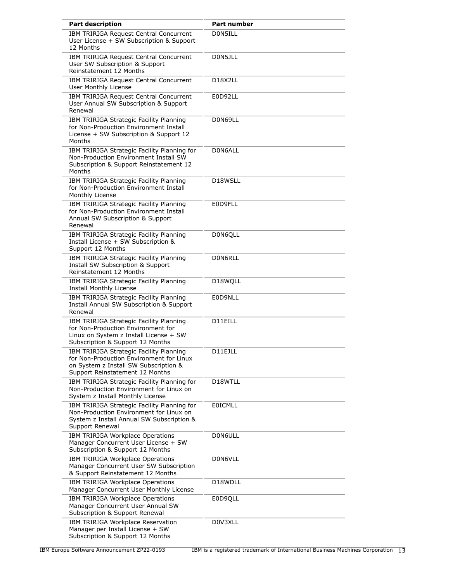| <b>Part description</b>                                                                                                                                         | Part number                       |
|-----------------------------------------------------------------------------------------------------------------------------------------------------------------|-----------------------------------|
| IBM TRIRIGA Request Central Concurrent<br>User License + SW Subscription & Support<br>12 Months                                                                 | D0N5ILL                           |
| IBM TRIRIGA Request Central Concurrent<br>User SW Subscription & Support<br>Reinstatement 12 Months                                                             | D0N5JLL                           |
| <b>IBM TRIRIGA Request Central Concurrent</b><br>User Monthly License                                                                                           | D <sub>18</sub> X <sub>2</sub> LL |
| IBM TRIRIGA Request Central Concurrent<br>User Annual SW Subscription & Support<br>Renewal                                                                      | E0D92LL                           |
| IBM TRIRIGA Strategic Facility Planning<br>for Non-Production Environment Install<br>License + SW Subscription & Support 12<br>Months                           | D0N69LL                           |
| IBM TRIRIGA Strategic Facility Planning for<br>Non-Production Environment Install SW<br>Subscription & Support Reinstatement 12<br>Months                       | D0N6ALL                           |
| IBM TRIRIGA Strategic Facility Planning<br>for Non-Production Environment Install<br>Monthly License                                                            | D18WSLL                           |
| IBM TRIRIGA Strategic Facility Planning<br>for Non-Production Environment Install<br>Annual SW Subscription & Support<br>Renewal                                | E0D9FLL                           |
| IBM TRIRIGA Strategic Facility Planning<br>Install License + SW Subscription &<br>Support 12 Months                                                             | D0N6QLL                           |
| IBM TRIRIGA Strategic Facility Planning<br><b>Install SW Subscription &amp; Support</b><br><b>Reinstatement 12 Months</b>                                       | D0N6RLL                           |
| IBM TRIRIGA Strategic Facility Planning<br>Install Monthly License                                                                                              | D18WQLL                           |
| IBM TRIRIGA Strategic Facility Planning<br>Install Annual SW Subscription & Support<br>Renewal                                                                  | E0D9NLL                           |
| IBM TRIRIGA Strategic Facility Planning<br>for Non-Production Environment for<br>Linux on System z Install License + SW<br>Subscription & Support 12 Months     | D11EILL                           |
| IBM TRIRIGA Strategic Facility Planning<br>for Non-Production Environment for Linux<br>on System z Install SW Subscription &<br>Support Reinstatement 12 Months | D11EJLL                           |
| IBM TRIRIGA Strategic Facility Planning for<br>Non-Production Environment for Linux on<br>System z Install Monthly License                                      | D18WTLL                           |
| IBM TRIRIGA Strategic Facility Planning for<br>Non-Production Environment for Linux on<br>System z Install Annual SW Subscription &<br>Support Renewal          | <b>EOICMLL</b>                    |
| IBM TRIRIGA Workplace Operations<br>Manager Concurrent User License + SW<br>Subscription & Support 12 Months                                                    | D0N6ULL                           |
| IBM TRIRIGA Workplace Operations<br>Manager Concurrent User SW Subscription<br>& Support Reinstatement 12 Months                                                | D0N6VLL                           |
| IBM TRIRIGA Workplace Operations<br>Manager Concurrent User Monthly License                                                                                     | D18WDLL                           |
| IBM TRIRIGA Workplace Operations<br>Manager Concurrent User Annual SW<br>Subscription & Support Renewal                                                         | E0D9QLL                           |
| IBM TRIRIGA Workplace Reservation<br>Manager per Install License + SW<br>Subscription & Support 12 Months                                                       | D0V3XLL                           |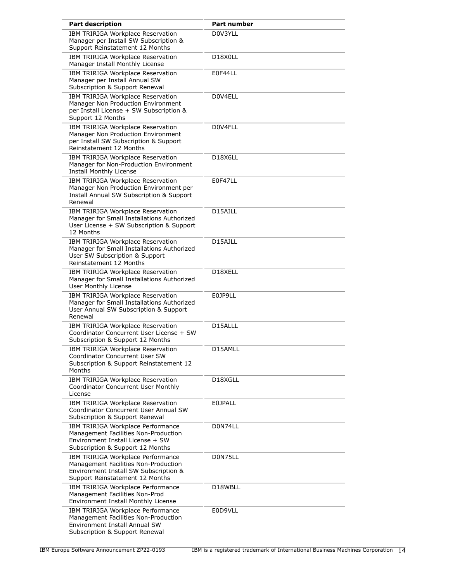| <b>Part description</b>                                                                                                                               | Part number    |
|-------------------------------------------------------------------------------------------------------------------------------------------------------|----------------|
| IBM TRIRIGA Workplace Reservation<br>Manager per Install SW Subscription &<br>Support Reinstatement 12 Months                                         | D0V3YLL        |
| IBM TRIRIGA Workplace Reservation<br>Manager Install Monthly License                                                                                  | D18X0LL        |
| IBM TRIRIGA Workplace Reservation<br>Manager per Install Annual SW<br>Subscription & Support Renewal                                                  | E0F44LL        |
| IBM TRIRIGA Workplace Reservation<br>Manager Non Production Environment<br>per Install License + SW Subscription &<br>Support 12 Months               | D0V4ELL        |
| IBM TRIRIGA Workplace Reservation<br>Manager Non Production Environment<br>per Install SW Subscription & Support<br>Reinstatement 12 Months           | D0V4FLL        |
| IBM TRIRIGA Workplace Reservation<br>Manager for Non-Production Environment<br>Install Monthly License                                                | <b>D18X6LL</b> |
| IBM TRIRIGA Workplace Reservation<br>Manager Non Production Environment per<br>Install Annual SW Subscription & Support<br>Renewal                    | E0F47LL        |
| IBM TRIRIGA Workplace Reservation<br>Manager for Small Installations Authorized<br>User License + SW Subscription & Support<br>12 Months              | D15AILL        |
| IBM TRIRIGA Workplace Reservation<br>Manager for Small Installations Authorized<br>User SW Subscription & Support<br>Reinstatement 12 Months          | D15AJLL        |
| IBM TRIRIGA Workplace Reservation<br>Manager for Small Installations Authorized<br><b>User Monthly License</b>                                        | D18XELL        |
| IBM TRIRIGA Workplace Reservation<br>Manager for Small Installations Authorized<br>User Annual SW Subscription & Support<br>Renewal                   | E0JP9LL        |
| IBM TRIRIGA Workplace Reservation<br>Coordinator Concurrent User License + SW<br>Subscription & Support 12 Months                                     | D15ALLL        |
| <b>IBM TRIRIGA Workplace Reservation</b><br>Coordinator Concurrent User SW<br>Subscription & Support Reinstatement 12<br>Months                       | D15AMLL        |
| IBM TRIRIGA Workplace Reservation<br><b>Coordinator Concurrent User Monthly</b><br>License                                                            | D18XGLL        |
| IBM TRIRIGA Workplace Reservation<br>Coordinator Concurrent User Annual SW<br>Subscription & Support Renewal                                          | <b>E0JPALL</b> |
| IBM TRIRIGA Workplace Performance<br>Management Facilities Non-Production<br>Environment Install License + SW<br>Subscription & Support 12 Months     | D0N74LL        |
| IBM TRIRIGA Workplace Performance<br>Management Facilities Non-Production<br>Environment Install SW Subscription &<br>Support Reinstatement 12 Months | D0N75LL        |
| IBM TRIRIGA Workplace Performance<br>Management Facilities Non-Prod<br>Environment Install Monthly License                                            | D18WBLL        |
| IBM TRIRIGA Workplace Performance<br>Management Facilities Non-Production<br>Environment Install Annual SW<br>Subscription & Support Renewal          | E0D9VLL        |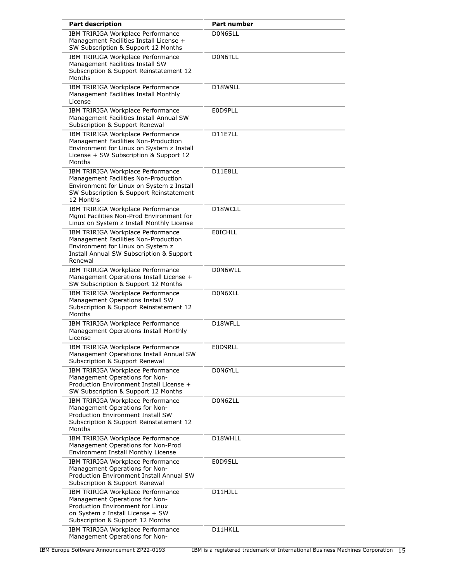| <b>Part description</b>                                                                                                                                                         | Part number    |
|---------------------------------------------------------------------------------------------------------------------------------------------------------------------------------|----------------|
| IBM TRIRIGA Workplace Performance<br>Management Facilities Install License +<br>SW Subscription & Support 12 Months                                                             | D0N6SLL        |
| IBM TRIRIGA Workplace Performance<br>Management Facilities Install SW<br>Subscription & Support Reinstatement 12<br>Months                                                      | D0N6TLL        |
| IBM TRIRIGA Workplace Performance<br>Management Facilities Install Monthly<br>License                                                                                           | D18W9LL        |
| IBM TRIRIGA Workplace Performance<br>Management Facilities Install Annual SW<br>Subscription & Support Renewal                                                                  | E0D9PLL        |
| IBM TRIRIGA Workplace Performance<br>Management Facilities Non-Production<br>Environment for Linux on System z Install<br>License + SW Subscription & Support 12<br>Months      | D11E7LL        |
| IBM TRIRIGA Workplace Performance<br>Management Facilities Non-Production<br>Environment for Linux on System z Install<br>SW Subscription & Support Reinstatement<br>12 Months  | D11E8LL        |
| IBM TRIRIGA Workplace Performance<br>Mgmt Facilities Non-Prod Environment for<br>Linux on System z Install Monthly License                                                      | D18WCLL        |
| IBM TRIRIGA Workplace Performance<br>Management Facilities Non-Production<br>Environment for Linux on System z<br>Install Annual SW Subscription & Support<br>Renewal           | <b>EOICHLL</b> |
| IBM TRIRIGA Workplace Performance<br>Management Operations Install License +<br>SW Subscription & Support 12 Months                                                             | D0N6WLL        |
| IBM TRIRIGA Workplace Performance<br>Management Operations Install SW<br>Subscription & Support Reinstatement 12<br>Months                                                      | D0N6XLL        |
| IBM TRIRIGA Workplace Performance<br>Management Operations Install Monthly<br>License                                                                                           | D18WFLL        |
| IBM TRIRIGA Workplace Performance<br>Management Operations Install Annual SW<br>Subscription & Support Renewal                                                                  | E0D9RLL        |
| IBM TRIRIGA Workplace Performance<br>Management Operations for Non-<br>Production Environment Install License +<br>SW Subscription & Support 12 Months                          | D0N6YLL        |
| IBM TRIRIGA Workplace Performance<br>Management Operations for Non-<br>Production Environment Install SW<br>Subscription & Support Reinstatement 12<br>Months                   | D0N6ZLL        |
| IBM TRIRIGA Workplace Performance<br>Management Operations for Non-Prod<br>Environment Install Monthly License                                                                  | D18WHLL        |
| IBM TRIRIGA Workplace Performance<br>Management Operations for Non-<br>Production Environment Install Annual SW<br>Subscription & Support Renewal                               | E0D9SLL        |
| IBM TRIRIGA Workplace Performance<br>Management Operations for Non-<br>Production Environment for Linux<br>on System z Install License + SW<br>Subscription & Support 12 Months | D11HJLL        |
| IBM TRIRIGA Workplace Performance<br>Management Operations for Non-                                                                                                             | D11HKLL        |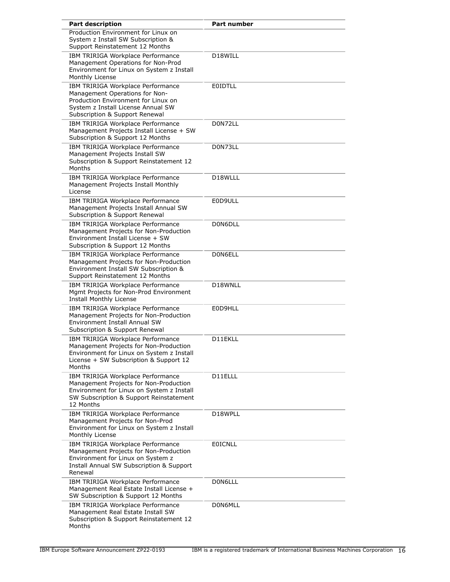| <b>Part description</b>                                                                                                                                                            | Part number    |
|------------------------------------------------------------------------------------------------------------------------------------------------------------------------------------|----------------|
| Production Environment for Linux on<br>System z Install SW Subscription &<br>Support Reinstatement 12 Months                                                                       |                |
| IBM TRIRIGA Workplace Performance<br>Management Operations for Non-Prod<br>Environment for Linux on System z Install<br>Monthly License                                            | D18WILL        |
| IBM TRIRIGA Workplace Performance<br>Management Operations for Non-<br>Production Environment for Linux on<br>System z Install License Annual SW<br>Subscription & Support Renewal | <b>EOIDTLL</b> |
| IBM TRIRIGA Workplace Performance<br>Management Projects Install License + SW<br>Subscription & Support 12 Months                                                                  | D0N72LL        |
| IBM TRIRIGA Workplace Performance<br>Management Projects Install SW<br>Subscription & Support Reinstatement 12<br>Months                                                           | D0N73LL        |
| IBM TRIRIGA Workplace Performance<br>Management Projects Install Monthly<br>License                                                                                                | D18WLLL        |
| IBM TRIRIGA Workplace Performance<br>Management Projects Install Annual SW<br>Subscription & Support Renewal                                                                       | E0D9ULL        |
| IBM TRIRIGA Workplace Performance<br>Management Projects for Non-Production<br>Environment Install License + SW<br>Subscription & Support 12 Months                                | D0N6DLL        |
| IBM TRIRIGA Workplace Performance<br>Management Projects for Non-Production<br>Environment Install SW Subscription &<br>Support Reinstatement 12 Months                            | D0N6ELL        |
| IBM TRIRIGA Workplace Performance<br>Mgmt Projects for Non-Prod Environment<br>Install Monthly License                                                                             | D18WNLL        |
| IBM TRIRIGA Workplace Performance<br>Management Projects for Non-Production<br>Environment Install Annual SW<br>Subscription & Support Renewal                                     | E0D9HLL        |
| IBM TRIRIGA Workplace Performance<br>Management Projects for Non-Production<br>Environment for Linux on System z Install<br>License + SW Subscription & Support 12<br>Months       | D11EKLL        |
| IBM TRIRIGA Workplace Performance<br>Management Projects for Non-Production<br>Environment for Linux on System z Install<br>SW Subscription & Support Reinstatement<br>12 Months   | D11ELLL        |
| IBM TRIRIGA Workplace Performance<br>Management Projects for Non-Prod<br>Environment for Linux on System z Install<br>Monthly License                                              | D18WPLL        |
| IBM TRIRIGA Workplace Performance<br>Management Projects for Non-Production<br>Environment for Linux on System z<br>Install Annual SW Subscription & Support<br>Renewal            | <b>EOICNLL</b> |
| IBM TRIRIGA Workplace Performance<br>Management Real Estate Install License +<br>SW Subscription & Support 12 Months                                                               | D0N6LLL        |
| IBM TRIRIGA Workplace Performance<br>Management Real Estate Install SW<br>Subscription & Support Reinstatement 12<br>Months                                                        | D0N6MLL        |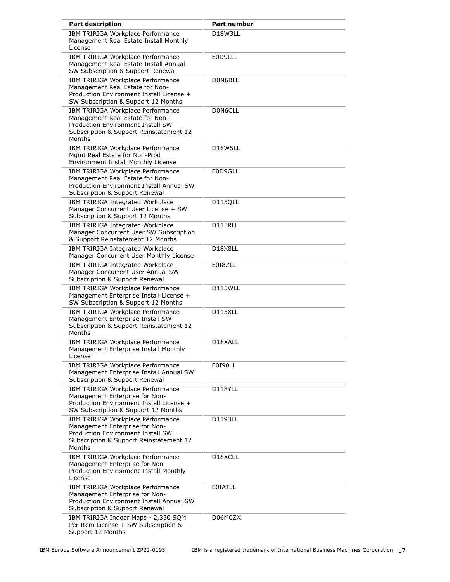| <b>Part description</b>                                                                                                                                        | <b>Part number</b>                |
|----------------------------------------------------------------------------------------------------------------------------------------------------------------|-----------------------------------|
| IBM TRIRIGA Workplace Performance<br>Management Real Estate Install Monthly<br>License                                                                         | D <sub>18</sub> W <sub>3LL</sub>  |
| IBM TRIRIGA Workplace Performance<br>Management Real Estate Install Annual<br>SW Subscription & Support Renewal                                                | E0D9LLL                           |
| IBM TRIRIGA Workplace Performance<br>Management Real Estate for Non-<br>Production Environment Install License +<br>SW Subscription & Support 12 Months        | D0N6BLL                           |
| IBM TRIRIGA Workplace Performance<br>Management Real Estate for Non-<br>Production Environment Install SW<br>Subscription & Support Reinstatement 12<br>Months | D0N6CLL                           |
| IBM TRIRIGA Workplace Performance<br>Mgmt Real Estate for Non-Prod<br>Environment Install Monthly License                                                      | D18W5LL                           |
| IBM TRIRIGA Workplace Performance<br>Management Real Estate for Non-<br><b>Production Environment Install Annual SW</b><br>Subscription & Support Renewal      | E0D9GLL                           |
| IBM TRIRIGA Integrated Workplace<br>Manager Concurrent User License + SW<br>Subscription & Support 12 Months                                                   | D115QLL                           |
| IBM TRIRIGA Integrated Workplace<br>Manager Concurrent User SW Subscription<br>& Support Reinstatement 12 Months                                               | D115RLL                           |
| IBM TRIRIGA Integrated Workplace<br>Manager Concurrent User Monthly License                                                                                    | D <sub>18</sub> X <sub>8</sub> LL |
| IBM TRIRIGA Integrated Workplace<br>Manager Concurrent User Annual SW<br>Subscription & Support Renewal                                                        | E018ZLL                           |
| IBM TRIRIGA Workplace Performance<br>Management Enterprise Install License +<br>SW Subscription & Support 12 Months                                            | D115WLL                           |
| IBM TRIRIGA Workplace Performance<br>Management Enterprise Install SW<br>Subscription & Support Reinstatement 12<br>Months                                     | D115XLL                           |
| IBM TRIRIGA Workplace Performance<br>Management Enterprise Install Monthly<br>License                                                                          | D18XALL                           |
| IBM TRIRIGA Workplace Performance<br>Management Enterprise Install Annual SW<br>Subscription & Support Renewal                                                 | E0190LL                           |
| IBM TRIRIGA Workplace Performance<br>Management Enterprise for Non-<br>Production Environment Install License +<br>SW Subscription & Support 12 Months         | D118YLL                           |
| IBM TRIRIGA Workplace Performance<br>Management Enterprise for Non-<br>Production Environment Install SW<br>Subscription & Support Reinstatement 12<br>Months  | D1193LL                           |
| IBM TRIRIGA Workplace Performance<br>Management Enterprise for Non-<br>Production Environment Install Monthly<br>License                                       | D <sub>18</sub> XCLL              |
| IBM TRIRIGA Workplace Performance<br>Management Enterprise for Non-<br>Production Environment Install Annual SW<br>Subscription & Support Renewal              | <b>EOIATLL</b>                    |
| IBM TRIRIGA Indoor Maps - 2,350 SQM<br>Per Item License + SW Subscription &<br>Support 12 Months                                                               | D06M0ZX                           |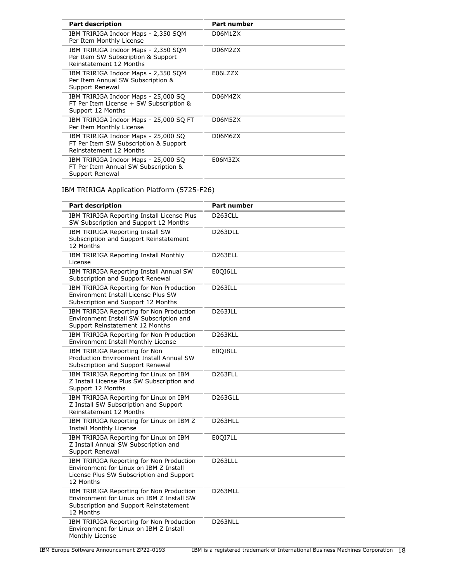| <b>Part description</b>                                                                                 | <b>Part number</b> |
|---------------------------------------------------------------------------------------------------------|--------------------|
| IBM TRIRIGA Indoor Maps - 2,350 SQM<br>Per Item Monthly License                                         | D06M1ZX            |
| IBM TRIRIGA Indoor Maps - 2,350 SOM<br>Per Item SW Subscription & Support<br>Reinstatement 12 Months    | D06M2ZX            |
| IBM TRIRIGA Indoor Maps - 2,350 SQM<br>Per Item Annual SW Subscription &<br>Support Renewal             | E06LZZX            |
| IBM TRIRIGA Indoor Maps - 25,000 SQ<br>FT Per Item License + SW Subscription &<br>Support 12 Months     | D06M4ZX            |
| IBM TRIRIGA Indoor Maps - 25,000 SQ FT<br>Per Item Monthly License                                      | D06M5ZX            |
| IBM TRIRIGA Indoor Maps - 25,000 SQ<br>FT Per Item SW Subscription & Support<br>Reinstatement 12 Months | D06M6ZX            |
| IBM TRIRIGA Indoor Maps - 25,000 SQ<br>FT Per Item Annual SW Subscription &<br>Support Renewal          | E06M3ZX            |

# IBM TRIRIGA Application Platform (5725-F26)

| <b>Part description</b>                                                                                                                      | <b>Part number</b>   |
|----------------------------------------------------------------------------------------------------------------------------------------------|----------------------|
| IBM TRIRIGA Reporting Install License Plus<br>SW Subscription and Support 12 Months                                                          | D <sub>263</sub> CLL |
| IBM TRIRIGA Reporting Install SW<br>Subscription and Support Reinstatement<br>12 Months                                                      | D263DLL              |
| IBM TRIRIGA Reporting Install Monthly<br>License                                                                                             | D <sub>263</sub> ELL |
| IBM TRIRIGA Reporting Install Annual SW<br>Subscription and Support Renewal                                                                  | E0QI6LL              |
| IBM TRIRIGA Reporting for Non Production<br>Environment Install License Plus SW<br>Subscription and Support 12 Months                        | D263ILL              |
| IBM TRIRIGA Reporting for Non Production<br>Environment Install SW Subscription and<br>Support Reinstatement 12 Months                       | D263JLL              |
| IBM TRIRIGA Reporting for Non Production<br>Environment Install Monthly License                                                              | D <sub>263</sub> KLL |
| IBM TRIRIGA Reporting for Non<br>Production Environment Install Annual SW<br>Subscription and Support Renewal                                | E0QI8LL              |
| IBM TRIRIGA Reporting for Linux on IBM<br>Z Install License Plus SW Subscription and<br>Support 12 Months                                    | D <sub>263FLL</sub>  |
| IBM TRIRIGA Reporting for Linux on IBM<br>Z Install SW Subscription and Support<br>Reinstatement 12 Months                                   | D263GLL              |
| IBM TRIRIGA Reporting for Linux on IBM Z<br><b>Install Monthly License</b>                                                                   | D263HLL              |
| IBM TRIRIGA Reporting for Linux on IBM<br>Z Install Annual SW Subscription and<br>Support Renewal                                            | E0QI7LL              |
| IBM TRIRIGA Reporting for Non Production<br>Environment for Linux on IBM Z Install<br>License Plus SW Subscription and Support<br>12 Months  | D <sub>263LLL</sub>  |
| IBM TRIRIGA Reporting for Non Production<br>Environment for Linux on IBM Z Install SW<br>Subscription and Support Reinstatement<br>12 Months | D263MLL              |
| IBM TRIRIGA Reporting for Non Production<br>Environment for Linux on IBM Z Install<br>Monthly License                                        | D <sub>263</sub> NLL |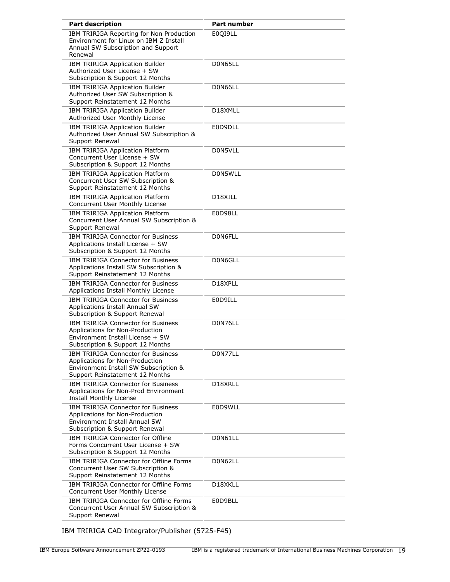| <b>Part description</b>                                                                                                                              | <b>Part number</b> |
|------------------------------------------------------------------------------------------------------------------------------------------------------|--------------------|
| IBM TRIRIGA Reporting for Non Production<br>Environment for Linux on IBM Z Install<br>Annual SW Subscription and Support<br>Renewal                  | E0QI9LL            |
| IBM TRIRIGA Application Builder<br>Authorized User License + SW<br>Subscription & Support 12 Months                                                  | D0N65LL            |
| IBM TRIRIGA Application Builder<br>Authorized User SW Subscription &<br>Support Reinstatement 12 Months                                              | D0N66LL            |
| IBM TRIRIGA Application Builder<br>Authorized User Monthly License                                                                                   | D18XMLL            |
| IBM TRIRIGA Application Builder<br>Authorized User Annual SW Subscription &<br>Support Renewal                                                       | E0D9DLL            |
| IBM TRIRIGA Application Platform<br>Concurrent User License + SW<br>Subscription & Support 12 Months                                                 | D0N5VLL            |
| IBM TRIRIGA Application Platform<br>Concurrent User SW Subscription &<br>Support Reinstatement 12 Months                                             | D0N5WLL            |
| IBM TRIRIGA Application Platform<br>Concurrent User Monthly License                                                                                  | D18XILL            |
| IBM TRIRIGA Application Platform<br>Concurrent User Annual SW Subscription &<br>Support Renewal                                                      | E0D98LL            |
| <b>IBM TRIRIGA Connector for Business</b><br>Applications Install License + SW<br>Subscription & Support 12 Months                                   | D0N6FLL            |
| IBM TRIRIGA Connector for Business<br>Applications Install SW Subscription &<br>Support Reinstatement 12 Months                                      | D0N6GLL            |
| <b>IBM TRIRIGA Connector for Business</b><br>Applications Install Monthly License                                                                    | D18XPLL            |
| <b>IBM TRIRIGA Connector for Business</b><br>Applications Install Annual SW<br>Subscription & Support Renewal                                        | E0D9ILL            |
| <b>IBM TRIRIGA Connector for Business</b><br>Applications for Non-Production<br>Environment Install License + SW<br>Subscription & Support 12 Months | D0N76LL            |
| IBM TRIRIGA Connector for Business<br>Applications for Non-Production<br>Environment Install SW Subscription &<br>Support Reinstatement 12 Months    | D0N77LL            |
| <b>IBM TRIRIGA Connector for Business</b><br>Applications for Non-Prod Environment<br>Install Monthly License                                        | D18XRLL            |
| IBM TRIRIGA Connector for Business<br>Applications for Non-Production<br>Environment Install Annual SW<br>Subscription & Support Renewal             | E0D9WLL            |
| IBM TRIRIGA Connector for Offline<br>Forms Concurrent User License + SW<br>Subscription & Support 12 Months                                          | D0N61LL            |
| IBM TRIRIGA Connector for Offline Forms<br>Concurrent User SW Subscription &<br>Support Reinstatement 12 Months                                      | D0N62LL            |
| IBM TRIRIGA Connector for Offline Forms<br>Concurrent User Monthly License                                                                           | D18XKLL            |
| IBM TRIRIGA Connector for Offline Forms<br>Concurrent User Annual SW Subscription &<br>Support Renewal                                               | E0D9BLL            |

IBM TRIRIGA CAD Integrator/Publisher (5725-F45)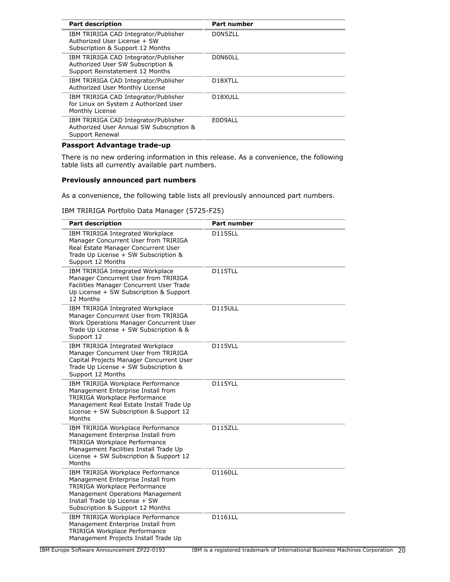| <b>Part description</b>                                                                                      | <b>Part number</b>   |
|--------------------------------------------------------------------------------------------------------------|----------------------|
| IBM TRIRIGA CAD Integrator/Publisher<br>Authorized User License + SW<br>Subscription & Support 12 Months     | D0N5ZLL              |
| IBM TRIRIGA CAD Integrator/Publisher<br>Authorized User SW Subscription &<br>Support Reinstatement 12 Months | D0N60LL              |
| IBM TRIRIGA CAD Integrator/Publisher<br>Authorized User Monthly License                                      | D <sub>18</sub> XTLL |
| IBM TRIRIGA CAD Integrator/Publisher<br>for Linux on System z Authorized User<br>Monthly License             | D <sub>18</sub> XULL |
| IBM TRIRIGA CAD Integrator/Publisher<br>Authorized User Annual SW Subscription &<br>Support Renewal          | E0D9ALL              |
|                                                                                                              |                      |

# **Passport Advantage trade-up**

There is no new ordering information in this release. As a convenience, the following table lists all currently available part numbers.

# **Previously announced part numbers**

As a convenience, the following table lists all previously announced part numbers.

IBM TRIRIGA Portfolio Data Manager (5725-F25)

| <b>Part description</b>                                                                                                                                                                                           | <b>Part number</b> |
|-------------------------------------------------------------------------------------------------------------------------------------------------------------------------------------------------------------------|--------------------|
| IBM TRIRIGA Integrated Workplace<br>Manager Concurrent User from TRIRIGA<br>Real Estate Manager Concurrent User<br>Trade Up License + SW Subscription &<br>Support 12 Months                                      | D115SLL            |
| IBM TRIRIGA Integrated Workplace<br>Manager Concurrent User from TRIRIGA<br>Facilities Manager Concurrent User Trade<br>Up License + SW Subscription & Support<br>12 Months                                       | <b>D115TLL</b>     |
| IBM TRIRIGA Integrated Workplace<br>Manager Concurrent User from TRIRIGA<br>Work Operations Manager Concurrent User<br>Trade Up License + SW Subscription & &<br>Support 12                                       | D115ULL            |
| IBM TRIRIGA Integrated Workplace<br>Manager Concurrent User from TRIRIGA<br>Capital Projects Manager Concurrent User<br>Trade Up License + SW Subscription &<br>Support 12 Months                                 | D115VLL            |
| IBM TRIRIGA Workplace Performance<br>Management Enterprise Install from<br>TRIRIGA Workplace Performance<br>Management Real Estate Install Trade Up<br>License + SW Subscription & Support 12<br>Months           | D115YLL            |
| IBM TRIRIGA Workplace Performance<br>Management Enterprise Install from<br>TRIRIGA Workplace Performance<br>Management Facilities Install Trade Up<br>License + SW Subscription & Support 12<br>Months            | D115ZLL            |
| IBM TRIRIGA Workplace Performance<br>Management Enterprise Install from<br>TRIRIGA Workplace Performance<br>Management Operations Management<br>Install Trade Up License + SW<br>Subscription & Support 12 Months | D1160LL            |
| IBM TRIRIGA Workplace Performance<br>Management Enterprise Install from<br><b>TRIRIGA Workplace Performance</b><br>Management Projects Install Trade Up                                                           | D1161LL            |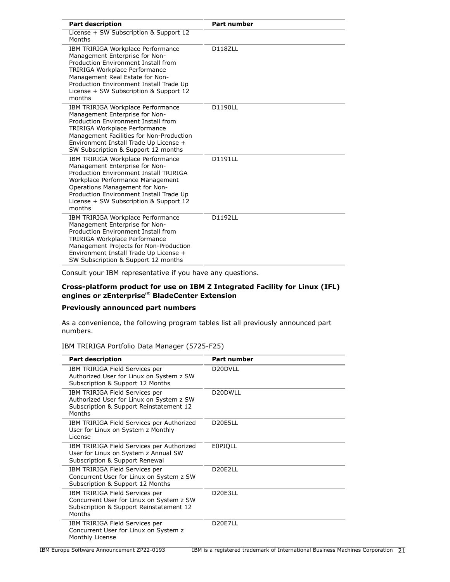| <b>Part description</b>                                                                                                                                                                                                                                                            | <b>Part number</b> |
|------------------------------------------------------------------------------------------------------------------------------------------------------------------------------------------------------------------------------------------------------------------------------------|--------------------|
| License + SW Subscription & Support 12<br>Months                                                                                                                                                                                                                                   |                    |
| IBM TRIRIGA Workplace Performance<br>Management Enterprise for Non-<br>Production Environment Install from<br>TRIRIGA Workplace Performance<br>Management Real Estate for Non-<br>Production Environment Install Trade Up<br>License + SW Subscription & Support 12<br>months      | D118ZLL            |
| IBM TRIRIGA Workplace Performance<br>Management Enterprise for Non-<br>Production Environment Install from<br>TRIRIGA Workplace Performance<br>Management Facilities for Non-Production<br>Environment Install Trade Up License +<br>SW Subscription & Support 12 months           | <b>D1190LL</b>     |
| IBM TRIRIGA Workplace Performance<br>Management Enterprise for Non-<br>Production Environment Install TRIRIGA<br>Workplace Performance Management<br>Operations Management for Non-<br>Production Environment Install Trade Up<br>License + SW Subscription & Support 12<br>months | D1191LL            |
| IBM TRIRIGA Workplace Performance<br>Management Enterprise for Non-<br>Production Environment Install from<br>TRIRIGA Workplace Performance<br>Management Projects for Non-Production<br>Environment Install Trade Up License +<br>SW Subscription & Support 12 months             | D1192LL            |

Consult your IBM representative if you have any questions.

# **Cross-platform product for use on IBM Z Integrated Facility for Linux (IFL) engines or zEnterprise(R) BladeCenter Extension**

# **Previously announced part numbers**

As a convenience, the following program tables list all previously announced part numbers.

# IBM TRIRIGA Portfolio Data Manager (5725-F25)

| <b>Part description</b>                                                                                                         | <b>Part number</b>               |
|---------------------------------------------------------------------------------------------------------------------------------|----------------------------------|
| IBM TRIRIGA Field Services per<br>Authorized User for Linux on System z SW<br>Subscription & Support 12 Months                  | D <sub>20</sub> DVLL             |
| IBM TRIRIGA Field Services per<br>Authorized User for Linux on System z SW<br>Subscription & Support Reinstatement 12<br>Months | D20DWLL                          |
| IBM TRIRIGA Field Services per Authorized<br>User for Linux on System z Monthly<br>License                                      | D <sub>20</sub> E <sub>5LL</sub> |
| IBM TRIRIGA Field Services per Authorized<br>User for Linux on System z Annual SW<br>Subscription & Support Renewal             | <b>EOPJQLL</b>                   |
| IBM TRIRIGA Field Services per<br>Concurrent User for Linux on System z SW<br>Subscription & Support 12 Months                  | D20F2LL                          |
| IBM TRIRIGA Field Services per<br>Concurrent User for Linux on System z SW<br>Subscription & Support Reinstatement 12<br>Months | D <sub>20</sub> E <sub>3LL</sub> |
| IBM TRIRIGA Field Services per<br>Concurrent User for Linux on System z<br>Monthly License                                      | D <sub>20</sub> E7LL             |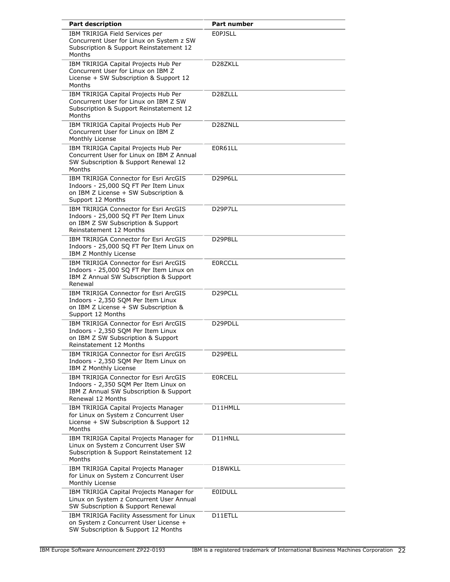| <b>Part description</b>                                                                                                                         | <b>Part number</b>   |
|-------------------------------------------------------------------------------------------------------------------------------------------------|----------------------|
| IBM TRIRIGA Field Services per<br>Concurrent User for Linux on System z SW<br>Subscription & Support Reinstatement 12<br>Months                 | <b>EOPJSLL</b>       |
| IBM TRIRIGA Capital Projects Hub Per<br>Concurrent User for Linux on IBM Z<br>License + SW Subscription & Support 12<br>Months                  | D28ZKLL              |
| IBM TRIRIGA Capital Projects Hub Per<br>Concurrent User for Linux on IBM Z SW<br>Subscription & Support Reinstatement 12<br>Months              | D <sub>28</sub> ZLLL |
| IBM TRIRIGA Capital Projects Hub Per<br>Concurrent User for Linux on IBM Z<br>Monthly License                                                   | D28ZNLL              |
| IBM TRIRIGA Capital Projects Hub Per<br>Concurrent User for Linux on IBM Z Annual<br>SW Subscription & Support Renewal 12<br>Months             | E0R61LL              |
| IBM TRIRIGA Connector for Esri ArcGIS<br>Indoors - 25,000 SQ FT Per Item Linux<br>on IBM Z License + SW Subscription &<br>Support 12 Months     | D29P6LL              |
| IBM TRIRIGA Connector for Esri ArcGIS<br>Indoors - 25,000 SQ FT Per Item Linux<br>on IBM Z SW Subscription & Support<br>Reinstatement 12 Months | D29P7LL              |
| IBM TRIRIGA Connector for Esri ArcGIS<br>Indoors - 25,000 SQ FT Per Item Linux on<br>IBM Z Monthly License                                      | D29P8LL              |
| IBM TRIRIGA Connector for Esri ArcGIS<br>Indoors - 25,000 SQ FT Per Item Linux on<br>IBM Z Annual SW Subscription & Support<br>Renewal          | <b>EORCCLL</b>       |
| IBM TRIRIGA Connector for Esri ArcGIS<br>Indoors - 2,350 SQM Per Item Linux<br>on IBM Z License + SW Subscription &<br>Support 12 Months        | D <sub>29</sub> PCLL |
| IBM TRIRIGA Connector for Esri ArcGIS<br>Indoors - 2,350 SQM Per Item Linux<br>on IBM Z SW Subscription & Support<br>Reinstatement 12 Months    | D29PDLL              |
| IBM TRIRIGA Connector for Esri ArcGIS<br>Indoors - 2,350 SQM Per Item Linux on<br>IBM Z Monthly License                                         | D29PELL              |
| IBM TRIRIGA Connector for Esri ArcGIS<br>Indoors - 2,350 SQM Per Item Linux on<br>IBM Z Annual SW Subscription & Support<br>Renewal 12 Months   | <b>EORCELL</b>       |
| IBM TRIRIGA Capital Projects Manager<br>for Linux on System z Concurrent User<br>License + SW Subscription & Support 12<br>Months               | D11HMLL              |
| IBM TRIRIGA Capital Projects Manager for<br>Linux on System z Concurrent User SW<br>Subscription & Support Reinstatement 12<br>Months           | D11HNLL              |
| IBM TRIRIGA Capital Projects Manager<br>for Linux on System z Concurrent User<br>Monthly License                                                | D18WKLL              |
| IBM TRIRIGA Capital Projects Manager for<br>Linux on System z Concurrent User Annual<br>SW Subscription & Support Renewal                       | EOIDULL              |
| IBM TRIRIGA Facility Assessment for Linux<br>on System z Concurrent User License +<br>SW Subscription & Support 12 Months                       | D11ETLL              |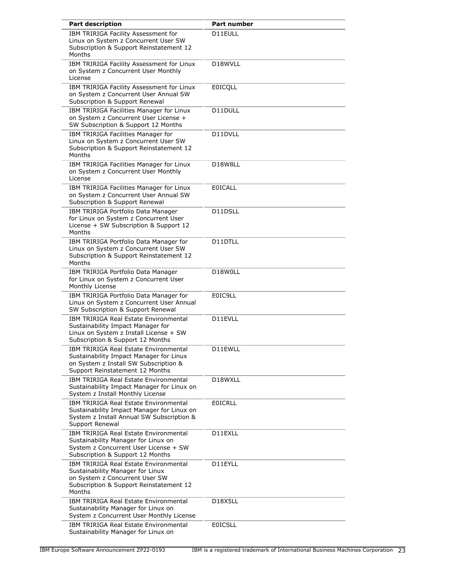| <b>Part description</b>                                                                                                                                                 | <b>Part number</b>   |
|-------------------------------------------------------------------------------------------------------------------------------------------------------------------------|----------------------|
| IBM TRIRIGA Facility Assessment for<br>Linux on System z Concurrent User SW<br>Subscription & Support Reinstatement 12<br>Months                                        | D11EULL              |
| IBM TRIRIGA Facility Assessment for Linux<br>on System z Concurrent User Monthly<br>License                                                                             | D <sub>18</sub> WVLL |
| IBM TRIRIGA Facility Assessment for Linux<br>on System z Concurrent User Annual SW<br>Subscription & Support Renewal                                                    | <b>EOICQLL</b>       |
| IBM TRIRIGA Facilities Manager for Linux<br>on System z Concurrent User License +<br>SW Subscription & Support 12 Months                                                | D11DULL              |
| IBM TRIRIGA Facilities Manager for<br>Linux on System z Concurrent User SW<br>Subscription & Support Reinstatement 12<br>Months                                         | D11DVLL              |
| IBM TRIRIGA Facilities Manager for Linux<br>on System z Concurrent User Monthly<br>License                                                                              | D18W8LL              |
| IBM TRIRIGA Facilities Manager for Linux<br>on System z Concurrent User Annual SW<br>Subscription & Support Renewal                                                     | <b>EOICALL</b>       |
| IBM TRIRIGA Portfolio Data Manager<br>for Linux on System z Concurrent User<br>License + SW Subscription & Support 12<br>Months                                         | D11DSLL              |
| IBM TRIRIGA Portfolio Data Manager for<br>Linux on System z Concurrent User SW<br>Subscription & Support Reinstatement 12<br>Months                                     | D11DTLL              |
| IBM TRIRIGA Portfolio Data Manager<br>for Linux on System z Concurrent User<br>Monthly License                                                                          | D18W0LL              |
| IBM TRIRIGA Portfolio Data Manager for<br>Linux on System z Concurrent User Annual<br>SW Subscription & Support Renewal                                                 | E0IC9LL              |
| <b>IBM TRIRIGA Real Estate Environmental</b><br>Sustainability Impact Manager for<br>Linux on System z Install License + SW<br>Subscription & Support 12 Months         | D11EVLL              |
| IBM TRIRIGA Real Estate Environmental<br>Sustainability Impact Manager for Linux<br>on System z Install SW Subscription &<br>Support Reinstatement 12 Months            | D11EWLL              |
| IBM TRIRIGA Real Estate Environmental<br>Sustainability Impact Manager for Linux on<br>System z Install Monthly License                                                 | D18WXLL              |
| <b>IBM TRIRIGA Real Estate Environmental</b><br>Sustainability Impact Manager for Linux on<br>System z Install Annual SW Subscription &<br>Support Renewal              | <b>EOICRLL</b>       |
| IBM TRIRIGA Real Estate Environmental<br>Sustainability Manager for Linux on<br>System z Concurrent User License + SW<br>Subscription & Support 12 Months               | D11EXLL              |
| <b>IBM TRIRIGA Real Estate Environmental</b><br>Sustainability Manager for Linux<br>on System z Concurrent User SW<br>Subscription & Support Reinstatement 12<br>Months | D11EYLL              |
| <b>IBM TRIRIGA Real Estate Environmental</b><br>Sustainability Manager for Linux on<br>System z Concurrent User Monthly License                                         | D18X5LL              |
| <b>IBM TRIRIGA Real Estate Environmental</b><br>Sustainability Manager for Linux on                                                                                     | <b>EOICSLL</b>       |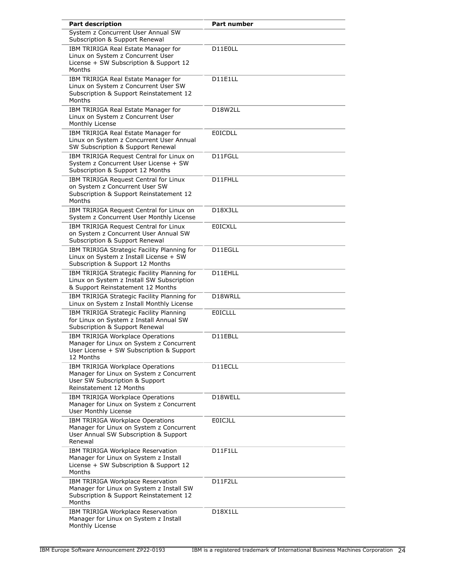| <b>Part description</b>                                                                                                                   | <b>Part number</b>                |
|-------------------------------------------------------------------------------------------------------------------------------------------|-----------------------------------|
| System z Concurrent User Annual SW<br>Subscription & Support Renewal                                                                      |                                   |
| IBM TRIRIGA Real Estate Manager for<br>Linux on System z Concurrent User<br>License + SW Subscription & Support 12<br>Months              | D11E0LL                           |
| IBM TRIRIGA Real Estate Manager for<br>Linux on System z Concurrent User SW<br>Subscription & Support Reinstatement 12<br>Months          | D11E1LL                           |
| IBM TRIRIGA Real Estate Manager for<br>Linux on System z Concurrent User<br>Monthly License                                               | D18W2LL                           |
| IBM TRIRIGA Real Estate Manager for<br>Linux on System z Concurrent User Annual<br>SW Subscription & Support Renewal                      | <b>EOICDLL</b>                    |
| IBM TRIRIGA Request Central for Linux on<br>System z Concurrent User License + SW<br>Subscription & Support 12 Months                     | D11FGLL                           |
| IBM TRIRIGA Request Central for Linux<br>on System z Concurrent User SW<br>Subscription & Support Reinstatement 12<br>Months              | D11FHLL                           |
| IBM TRIRIGA Request Central for Linux on<br>System z Concurrent User Monthly License                                                      | D <sub>18</sub> X <sub>3</sub> LL |
| IBM TRIRIGA Request Central for Linux<br>on System z Concurrent User Annual SW<br>Subscription & Support Renewal                          | <b>EOICXLL</b>                    |
| IBM TRIRIGA Strategic Facility Planning for<br>Linux on System z Install License + SW<br>Subscription & Support 12 Months                 | D11EGLL                           |
| IBM TRIRIGA Strategic Facility Planning for<br>Linux on System z Install SW Subscription<br>& Support Reinstatement 12 Months             | D11EHLL                           |
| IBM TRIRIGA Strategic Facility Planning for<br>Linux on System z Install Monthly License                                                  | D18WRLL                           |
| IBM TRIRIGA Strategic Facility Planning<br>for Linux on System z Install Annual SW<br>Subscription & Support Renewal                      | <b>EOICLLL</b>                    |
| IBM TRIRIGA Workplace Operations<br>Manager for Linux on System z Concurrent<br>User License + SW Subscription & Support<br>12 Months     | D11EBLL                           |
| IBM TRIRIGA Workplace Operations<br>Manager for Linux on System z Concurrent<br>User SW Subscription & Support<br>Reinstatement 12 Months | D11ECLL                           |
| IBM TRIRIGA Workplace Operations<br>Manager for Linux on System z Concurrent<br>User Monthly License                                      | D18WELL                           |
| IBM TRIRIGA Workplace Operations<br>Manager for Linux on System z Concurrent<br>User Annual SW Subscription & Support<br>Renewal          | <b>EOICJLL</b>                    |
| IBM TRIRIGA Workplace Reservation<br>Manager for Linux on System z Install<br>License + SW Subscription & Support 12<br>Months            | D11F1LL                           |
| IBM TRIRIGA Workplace Reservation<br>Manager for Linux on System z Install SW<br>Subscription & Support Reinstatement 12<br>Months        | D11F2LL                           |
| IBM TRIRIGA Workplace Reservation<br>Manager for Linux on System z Install<br>Monthly License                                             | D18X1LL                           |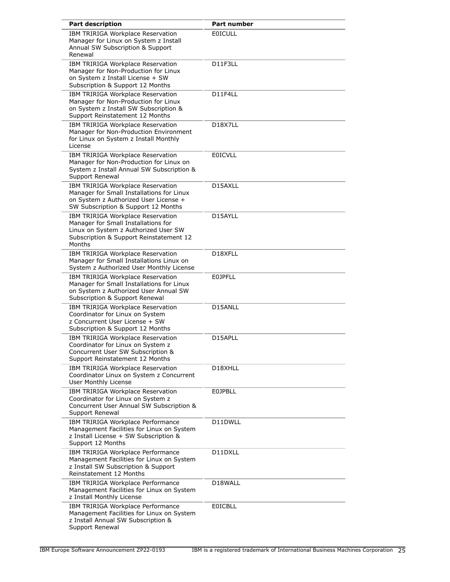| <b>Part description</b>                                                                                                                                               | <b>Part number</b>                |
|-----------------------------------------------------------------------------------------------------------------------------------------------------------------------|-----------------------------------|
| IBM TRIRIGA Workplace Reservation<br>Manager for Linux on System z Install<br>Annual SW Subscription & Support<br>Renewal                                             | <b>EOICULL</b>                    |
| IBM TRIRIGA Workplace Reservation<br>Manager for Non-Production for Linux<br>on System z Install License + SW<br>Subscription & Support 12 Months                     | D11F3LL                           |
| IBM TRIRIGA Workplace Reservation<br>Manager for Non-Production for Linux<br>on System z Install SW Subscription &<br>Support Reinstatement 12 Months                 | D11F4LL                           |
| IBM TRIRIGA Workplace Reservation<br>Manager for Non-Production Environment<br>for Linux on System z Install Monthly<br>License                                       | D <sub>18</sub> X <sub>7</sub> LL |
| IBM TRIRIGA Workplace Reservation<br>Manager for Non-Production for Linux on<br>System z Install Annual SW Subscription &<br>Support Renewal                          | <b>EOICVLL</b>                    |
| IBM TRIRIGA Workplace Reservation<br>Manager for Small Installations for Linux<br>on System z Authorized User License +<br>SW Subscription & Support 12 Months        | D15AXLL                           |
| IBM TRIRIGA Workplace Reservation<br>Manager for Small Installations for<br>Linux on System z Authorized User SW<br>Subscription & Support Reinstatement 12<br>Months | D15AYLL                           |
| IBM TRIRIGA Workplace Reservation<br>Manager for Small Installations Linux on<br>System z Authorized User Monthly License                                             | D18XFLL                           |
| IBM TRIRIGA Workplace Reservation<br>Manager for Small Installations for Linux<br>on System z Authorized User Annual SW<br>Subscription & Support Renewal             | <b>EOJPFLL</b>                    |
| IBM TRIRIGA Workplace Reservation<br>Coordinator for Linux on System<br>z Concurrent User License + SW<br>Subscription & Support 12 Months                            | D15ANLL                           |
| IBM TRIRIGA Workplace Reservation<br>Coordinator for Linux on System z<br>Concurrent User SW Subscription &<br>Support Reinstatement 12 Months                        | D15APLL                           |
| IBM TRIRIGA Workplace Reservation<br>Coordinator Linux on System z Concurrent<br>User Monthly License                                                                 | D18XHLL                           |
| IBM TRIRIGA Workplace Reservation<br>Coordinator for Linux on System z<br>Concurrent User Annual SW Subscription &<br>Support Renewal                                 | <b>E0JPBLL</b>                    |
| IBM TRIRIGA Workplace Performance<br>Management Facilities for Linux on System<br>z Install License + SW Subscription &<br>Support 12 Months                          | D11DWLL                           |
| IBM TRIRIGA Workplace Performance<br>Management Facilities for Linux on System<br>z Install SW Subscription & Support<br>Reinstatement 12 Months                      | D11DXLL                           |
| IBM TRIRIGA Workplace Performance<br>Management Facilities for Linux on System<br>z Install Monthly License                                                           | D18WALL                           |
| IBM TRIRIGA Workplace Performance<br>Management Facilities for Linux on System<br>z Install Annual SW Subscription &<br>Support Renewal                               | EOICBLL                           |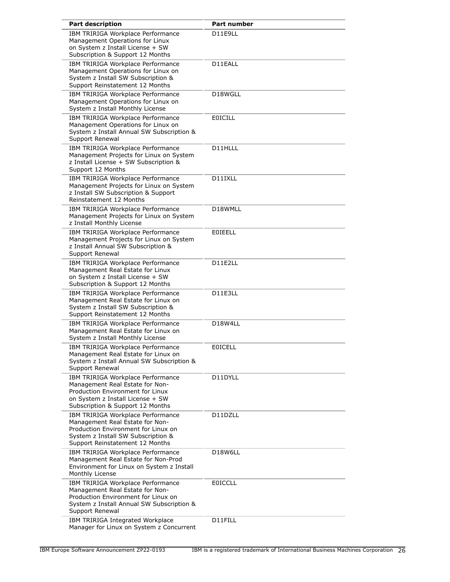| <b>Part description</b>                                                                                                                                                              | Part number    |
|--------------------------------------------------------------------------------------------------------------------------------------------------------------------------------------|----------------|
| IBM TRIRIGA Workplace Performance<br>Management Operations for Linux<br>on System z Install License + SW<br>Subscription & Support 12 Months                                         | D11E9LL        |
| IBM TRIRIGA Workplace Performance<br>Management Operations for Linux on<br>System z Install SW Subscription &<br>Support Reinstatement 12 Months                                     | D11EALL        |
| IBM TRIRIGA Workplace Performance<br>Management Operations for Linux on<br>System z Install Monthly License                                                                          | D18WGLL        |
| IBM TRIRIGA Workplace Performance<br>Management Operations for Linux on<br>System z Install Annual SW Subscription &<br>Support Renewal                                              | <b>EOICILL</b> |
| IBM TRIRIGA Workplace Performance<br>Management Projects for Linux on System<br>z Install License + SW Subscription &<br>Support 12 Months                                           | D11HLLL        |
| IBM TRIRIGA Workplace Performance<br>Management Projects for Linux on System<br>z Install SW Subscription & Support<br>Reinstatement 12 Months                                       | D11IXLL        |
| IBM TRIRIGA Workplace Performance<br>Management Projects for Linux on System<br>z Install Monthly License                                                                            | D18WMLL        |
| IBM TRIRIGA Workplace Performance<br>Management Projects for Linux on System<br>z Install Annual SW Subscription &<br>Support Renewal                                                | <b>EOIEELL</b> |
| IBM TRIRIGA Workplace Performance<br>Management Real Estate for Linux<br>on System z Install License + SW<br>Subscription & Support 12 Months                                        | D11E2LL        |
| IBM TRIRIGA Workplace Performance<br>Management Real Estate for Linux on<br>System z Install SW Subscription &<br>Support Reinstatement 12 Months                                    | D11E3LL        |
| IBM TRIRIGA Workplace Performance<br>Management Real Estate for Linux on<br>System z Install Monthly License                                                                         | D18W4LL        |
| IBM TRIRIGA Workplace Performance<br>Management Real Estate for Linux on<br>System z Install Annual SW Subscription &<br>Support Renewal                                             | <b>EOICELL</b> |
| IBM TRIRIGA Workplace Performance<br>Management Real Estate for Non-<br>Production Environment for Linux<br>on System z Install License + SW<br>Subscription & Support 12 Months     | D11DYLL        |
| IBM TRIRIGA Workplace Performance<br>Management Real Estate for Non-<br>Production Environment for Linux on<br>System z Install SW Subscription &<br>Support Reinstatement 12 Months | D11DZLL        |
| IBM TRIRIGA Workplace Performance<br>Management Real Estate for Non-Prod<br>Environment for Linux on System z Install<br>Monthly License                                             | D18W6LL        |
| IBM TRIRIGA Workplace Performance<br>Management Real Estate for Non-<br>Production Environment for Linux on<br>System z Install Annual SW Subscription &<br>Support Renewal          | EOICCLL        |
| IBM TRIRIGA Integrated Workplace<br>Manager for Linux on System z Concurrent                                                                                                         | D11FILL        |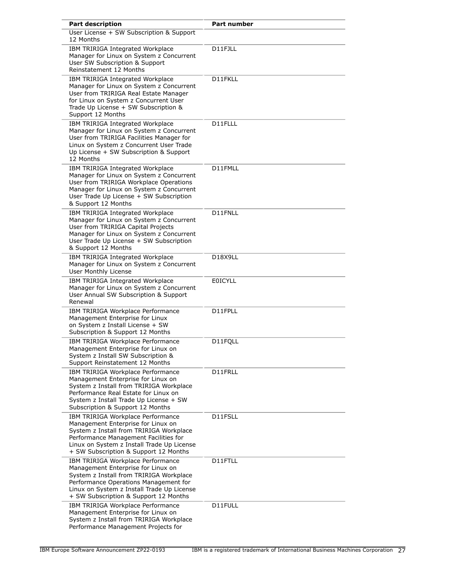| <b>Part description</b>                                                                                                                                                                                                                            | <b>Part number</b>                |
|----------------------------------------------------------------------------------------------------------------------------------------------------------------------------------------------------------------------------------------------------|-----------------------------------|
| User License + SW Subscription & Support<br>12 Months                                                                                                                                                                                              |                                   |
| IBM TRIRIGA Integrated Workplace<br>Manager for Linux on System z Concurrent<br>User SW Subscription & Support<br>Reinstatement 12 Months                                                                                                          | D11FJLL                           |
| IBM TRIRIGA Integrated Workplace<br>Manager for Linux on System z Concurrent<br>User from TRIRIGA Real Estate Manager<br>for Linux on System z Concurrent User<br>Trade Up License + SW Subscription &<br>Support 12 Months                        | D11FKLL                           |
| IBM TRIRIGA Integrated Workplace<br>Manager for Linux on System z Concurrent<br>User from TRIRIGA Facilities Manager for<br>Linux on System z Concurrent User Trade<br>Up License + SW Subscription & Support<br>12 Months                         | D11FLLL                           |
| IBM TRIRIGA Integrated Workplace<br>Manager for Linux on System z Concurrent<br>User from TRIRIGA Workplace Operations<br>Manager for Linux on System z Concurrent<br>User Trade Up License + SW Subscription<br>& Support 12 Months               | D11FMLL                           |
| IBM TRIRIGA Integrated Workplace<br>Manager for Linux on System z Concurrent<br>User from TRIRIGA Capital Projects<br>Manager for Linux on System z Concurrent<br>User Trade Up License + SW Subscription<br>& Support 12 Months                   | D11FNLL                           |
| IBM TRIRIGA Integrated Workplace<br>Manager for Linux on System z Concurrent<br><b>User Monthly License</b>                                                                                                                                        | D <sub>18</sub> X <sub>9</sub> LL |
| IBM TRIRIGA Integrated Workplace<br>Manager for Linux on System z Concurrent<br>User Annual SW Subscription & Support<br>Renewal                                                                                                                   | <b>EOICYLL</b>                    |
| IBM TRIRIGA Workplace Performance<br>Management Enterprise for Linux<br>on System z Install License + SW<br>Subscription & Support 12 Months                                                                                                       | D11FPLL                           |
| IBM TRIRIGA Workplace Performance<br>Management Enterprise for Linux on<br>System z Install SW Subscription &<br>Support Reinstatement 12 Months                                                                                                   | D11FQLL                           |
| IBM TRIRIGA Workplace Performance<br>Management Enterprise for Linux on<br>System z Install from TRIRIGA Workplace<br>Performance Real Estate for Linux on<br>System z Install Trade Up License + SW<br>Subscription & Support 12 Months           | D11FRLL                           |
| IBM TRIRIGA Workplace Performance<br>Management Enterprise for Linux on<br>System z Install from TRIRIGA Workplace<br>Performance Management Facilities for<br>Linux on System z Install Trade Up License<br>+ SW Subscription & Support 12 Months | D11FSLL                           |
| IBM TRIRIGA Workplace Performance<br>Management Enterprise for Linux on<br>System z Install from TRIRIGA Workplace<br>Performance Operations Management for<br>Linux on System z Install Trade Up License<br>+ SW Subscription & Support 12 Months | D11FTLL                           |
| IBM TRIRIGA Workplace Performance<br>Management Enterprise for Linux on<br>System z Install from TRIRIGA Workplace<br>Performance Management Projects for                                                                                          | D11FULL                           |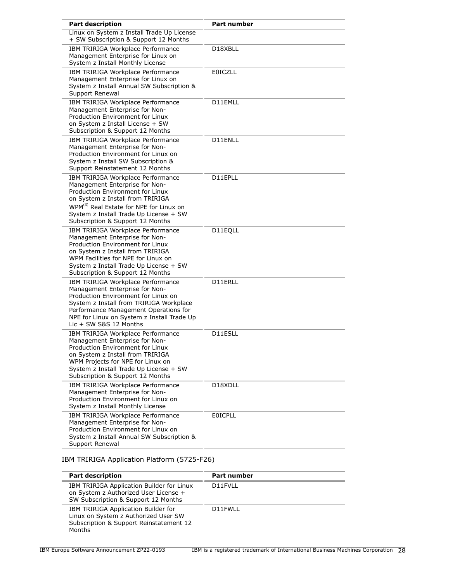| <b>Part description</b>                                                                                                                                                                                                                                                          | <b>Part number</b> |
|----------------------------------------------------------------------------------------------------------------------------------------------------------------------------------------------------------------------------------------------------------------------------------|--------------------|
| Linux on System z Install Trade Up License<br>+ SW Subscription & Support 12 Months                                                                                                                                                                                              |                    |
| IBM TRIRIGA Workplace Performance<br>Management Enterprise for Linux on<br>System z Install Monthly License                                                                                                                                                                      | D18XBLL            |
| IBM TRIRIGA Workplace Performance<br>Management Enterprise for Linux on<br>System z Install Annual SW Subscription &<br>Support Renewal                                                                                                                                          | <b>E0ICZLL</b>     |
| IBM TRIRIGA Workplace Performance<br>Management Enterprise for Non-<br>Production Environment for Linux<br>on System z Install License + SW<br>Subscription & Support 12 Months                                                                                                  | D11EMLL            |
| IBM TRIRIGA Workplace Performance<br>Management Enterprise for Non-<br>Production Environment for Linux on<br>System z Install SW Subscription &<br>Support Reinstatement 12 Months                                                                                              | D11ENLL            |
| IBM TRIRIGA Workplace Performance<br>Management Enterprise for Non-<br>Production Environment for Linux<br>on System z Install from TRIRIGA<br>WPM <sup>(R)</sup> Real Estate for NPE for Linux on<br>System z Install Trade Up License + SW<br>Subscription & Support 12 Months | D11EPLL            |
| IBM TRIRIGA Workplace Performance<br>Management Enterprise for Non-<br>Production Environment for Linux<br>on System z Install from TRIRIGA<br>WPM Facilities for NPE for Linux on<br>System z Install Trade Up License + SW<br>Subscription & Support 12 Months                 | D11EQLL            |
| IBM TRIRIGA Workplace Performance<br>Management Enterprise for Non-<br>Production Environment for Linux on<br>System z Install from TRIRIGA Workplace<br>Performance Management Operations for<br>NPE for Linux on System z Install Trade Up<br>Lic + SW S&S 12 Months           | D11ERLL            |
| IBM TRIRIGA Workplace Performance<br>Management Enterprise for Non-<br>Production Environment for Linux<br>on System z Install from TRIRIGA<br>WPM Projects for NPE for Linux on<br>System z Install Trade Up License + SW<br>Subscription & Support 12 Months                   | D11ESLL            |
| IBM TRIRIGA Workplace Performance<br>Management Enterprise for Non-<br>Production Environment for Linux on<br>System z Install Monthly License                                                                                                                                   | D18XDLL            |
| IBM TRIRIGA Workplace Performance<br>Management Enterprise for Non-<br>Production Environment for Linux on<br>System z Install Annual SW Subscription &<br>Support Renewal                                                                                                       | EOICPLL            |

IBM TRIRIGA Application Platform (5725-F26)

| <b>Part description</b>                                                                                                          | Part number |
|----------------------------------------------------------------------------------------------------------------------------------|-------------|
| IBM TRIRIGA Application Builder for Linux<br>on System z Authorized User License +<br>SW Subscription & Support 12 Months        | D11FVLL     |
| IBM TRIRIGA Application Builder for<br>Linux on System z Authorized User SW<br>Subscription & Support Reinstatement 12<br>Months | D11FWLL     |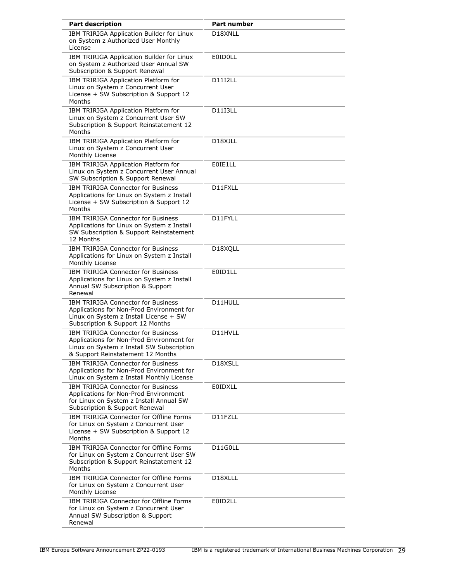| <b>Part description</b>                                                                                                                                                  | <b>Part number</b>   |
|--------------------------------------------------------------------------------------------------------------------------------------------------------------------------|----------------------|
| IBM TRIRIGA Application Builder for Linux<br>on System z Authorized User Monthly<br>License                                                                              | D18XNLL              |
| IBM TRIRIGA Application Builder for Linux<br>on System z Authorized User Annual SW<br>Subscription & Support Renewal                                                     | <b>E0ID0LL</b>       |
| IBM TRIRIGA Application Platform for<br>Linux on System z Concurrent User<br>License + SW Subscription & Support 12<br>Months                                            | D11I2LL              |
| IBM TRIRIGA Application Platform for<br>Linux on System z Concurrent User SW<br>Subscription & Support Reinstatement 12<br>Months                                        | <b>D11I3LL</b>       |
| IBM TRIRIGA Application Platform for<br>Linux on System z Concurrent User<br>Monthly License                                                                             | D18XJLL              |
| IBM TRIRIGA Application Platform for<br>Linux on System z Concurrent User Annual<br>SW Subscription & Support Renewal                                                    | E0IE1LL              |
| <b>IBM TRIRIGA Connector for Business</b><br>Applications for Linux on System z Install<br>License + SW Subscription & Support 12<br>Months                              | D11FXLL              |
| <b>IBM TRIRIGA Connector for Business</b><br>Applications for Linux on System z Install<br>SW Subscription & Support Reinstatement<br>12 Months                          | D11FYLL              |
| <b>IBM TRIRIGA Connector for Business</b><br>Applications for Linux on System z Install<br>Monthly License                                                               | D18XQLL              |
| <b>IBM TRIRIGA Connector for Business</b><br>Applications for Linux on System z Install<br>Annual SW Subscription & Support<br>Renewal                                   | E0ID1LL              |
| <b>IBM TRIRIGA Connector for Business</b><br>Applications for Non-Prod Environment for<br>Linux on System z Install License + SW<br>Subscription & Support 12 Months     | D11HULL              |
| <b>IBM TRIRIGA Connector for Business</b><br>Applications for Non-Prod Environment for<br>Linux on System z Install SW Subscription<br>& Support Reinstatement 12 Months | D11HVLL              |
| IBM TRIRIGA Connector for Business<br>Applications for Non-Prod Environment for<br>Linux on System z Install Monthly License                                             | D18XSLL              |
| <b>IBM TRIRIGA Connector for Business</b><br>Applications for Non-Prod Environment<br>for Linux on System z Install Annual SW<br>Subscription & Support Renewal          | <b>E0IDXLL</b>       |
| IBM TRIRIGA Connector for Offline Forms<br>for Linux on System z Concurrent User<br>License + SW Subscription & Support 12<br>Months                                     | D11FZLL              |
| IBM TRIRIGA Connector for Offline Forms<br>for Linux on System z Concurrent User SW<br>Subscription & Support Reinstatement 12<br>Months                                 | D11G0LL              |
| IBM TRIRIGA Connector for Offline Forms<br>for Linux on System z Concurrent User<br>Monthly License                                                                      | D <sub>18</sub> XLLL |
| IBM TRIRIGA Connector for Offline Forms<br>for Linux on System z Concurrent User<br>Annual SW Subscription & Support<br>Renewal                                          | E0ID2LL              |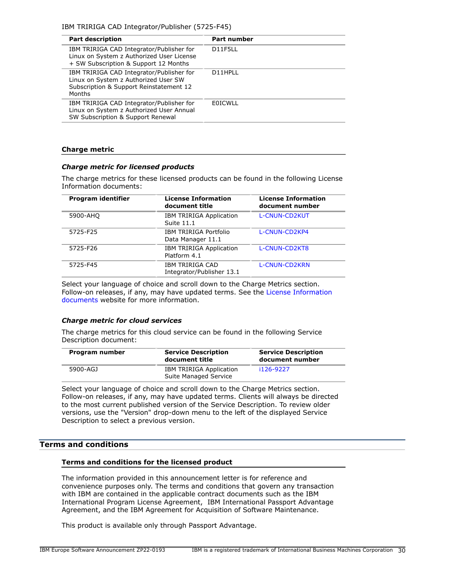| <b>Part description</b>                                                                                                                      | <b>Part number</b> |
|----------------------------------------------------------------------------------------------------------------------------------------------|--------------------|
| IBM TRIRIGA CAD Integrator/Publisher for<br>Linux on System z Authorized User License<br>+ SW Subscription & Support 12 Months               | D11F5LL            |
| IBM TRIRIGA CAD Integrator/Publisher for<br>Linux on System z Authorized User SW<br>Subscription & Support Reinstatement 12<br><b>Months</b> | D11HPLL            |
| IBM TRIRIGA CAD Integrator/Publisher for<br>Linux on System z Authorized User Annual<br>SW Subscription & Support Renewal                    | <b>FOICWLL</b>     |

### **Charge metric**

### *Charge metric for licensed products*

The charge metrics for these licensed products can be found in the following License Information documents:

| Program identifier | <b>License Information</b><br>document title      | <b>License Information</b><br>document number |
|--------------------|---------------------------------------------------|-----------------------------------------------|
| 5900-AHQ           | <b>IBM TRIRIGA Application</b><br>Suite 11.1      | <b>L-CNUN-CD2KUT</b>                          |
| 5725-F25           | <b>IBM TRIRIGA Portfolio</b><br>Data Manager 11.1 | L-CNUN-CD2KP4                                 |
| 5725-F26           | <b>IBM TRIRIGA Application</b><br>Platform 4.1    | L-CNUN-CD2KT8                                 |
| 5725-F45           | IBM TRIRIGA CAD<br>Integrator/Publisher 13.1      | L-CNUN-CD2KRN                                 |

Select your language of choice and scroll down to the Charge Metrics section. Follow-on releases, if any, may have updated terms. See the [License Information](https://www.ibm.com/software/sla/sladb.nsf/search?OpenForm) [documents](https://www.ibm.com/software/sla/sladb.nsf/search?OpenForm) website for more information.

# *Charge metric for cloud services*

The charge metrics for this cloud service can be found in the following Service Description document:

| Program number | <b>Service Description</b><br>document title            | <b>Service Description</b><br>document number |
|----------------|---------------------------------------------------------|-----------------------------------------------|
| 5900-AGJ       | <b>IBM TRIRIGA Application</b><br>Suite Managed Service | i126-9227                                     |

Select your language of choice and scroll down to the Charge Metrics section. Follow-on releases, if any, may have updated terms. Clients will always be directed to the most current published version of the Service Description. To review older versions, use the "Version" drop-down menu to the left of the displayed Service Description to select a previous version.

# <span id="page-29-0"></span>**Terms and conditions**

### **Terms and conditions for the licensed product**

The information provided in this announcement letter is for reference and convenience purposes only. The terms and conditions that govern any transaction with IBM are contained in the applicable contract documents such as the IBM International Program License Agreement, IBM International Passport Advantage Agreement, and the IBM Agreement for Acquisition of Software Maintenance.

This product is available only through Passport Advantage.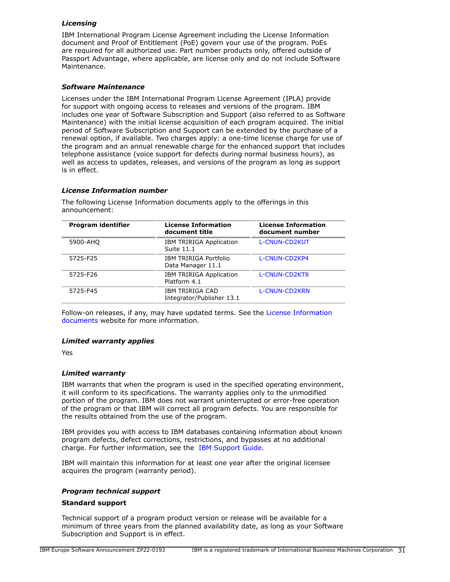# *Licensing*

IBM International Program License Agreement including the License Information document and Proof of Entitlement (PoE) govern your use of the program. PoEs are required for all authorized use. Part number products only, offered outside of Passport Advantage, where applicable, are license only and do not include Software Maintenance.

# *Software Maintenance*

Licenses under the IBM International Program License Agreement (IPLA) provide for support with ongoing access to releases and versions of the program. IBM includes one year of Software Subscription and Support (also referred to as Software Maintenance) with the initial license acquisition of each program acquired. The initial period of Software Subscription and Support can be extended by the purchase of a renewal option, if available. Two charges apply: a one-time license charge for use of the program and an annual renewable charge for the enhanced support that includes telephone assistance (voice support for defects during normal business hours), as well as access to updates, releases, and versions of the program as long as support is in effect.

# *License Information number*

The following License Information documents apply to the offerings in this announcement:

| Program identifier | <b>License Information</b><br>document title   | <b>License Information</b><br>document number |
|--------------------|------------------------------------------------|-----------------------------------------------|
| 5900-AHQ           | <b>IBM TRIRIGA Application</b><br>Suite 11.1   | <b>L-CNUN-CD2KUT</b>                          |
| 5725-F25           | IBM TRIRIGA Portfolio<br>Data Manager 11.1     | L-CNUN-CD2KP4                                 |
| 5725-F26           | <b>IBM TRIRIGA Application</b><br>Platform 4.1 | L-CNUN-CD2KT8                                 |
| 5725-F45           | IBM TRIRIGA CAD<br>Integrator/Publisher 13.1   | L-CNUN-CD2KRN                                 |

Follow-on releases, if any, may have updated terms. See the [License Information](https://www.ibm.com/software/sla/sladb.nsf/search?OpenForm) [documents](https://www.ibm.com/software/sla/sladb.nsf/search?OpenForm) website for more information.

# *Limited warranty applies*

Yes

# *Limited warranty*

IBM warrants that when the program is used in the specified operating environment, it will conform to its specifications. The warranty applies only to the unmodified portion of the program. IBM does not warrant uninterrupted or error-free operation of the program or that IBM will correct all program defects. You are responsible for the results obtained from the use of the program.

IBM provides you with access to IBM databases containing information about known program defects, defect corrections, restrictions, and bypasses at no additional charge. For further information, see the [IBM Support Guide](http://www.ibm.com/support/customercare/sas/f/handbook/home.html).

IBM will maintain this information for at least one year after the original licensee acquires the program (warranty period).

# *Program technical support*

# **Standard support**

Technical support of a program product version or release will be available for a minimum of three years from the planned availability date, as long as your Software Subscription and Support is in effect.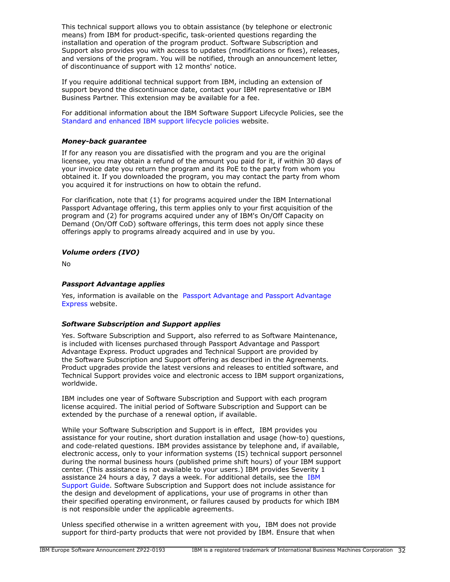This technical support allows you to obtain assistance (by telephone or electronic means) from IBM for product-specific, task-oriented questions regarding the installation and operation of the program product. Software Subscription and Support also provides you with access to updates (modifications or fixes), releases, and versions of the program. You will be notified, through an announcement letter, of discontinuance of support with 12 months' notice.

If you require additional technical support from IBM, including an extension of support beyond the discontinuance date, contact your IBM representative or IBM Business Partner. This extension may be available for a fee.

For additional information about the IBM Software Support Lifecycle Policies, see the [Standard and enhanced IBM support lifecycle policies](http://www.ibm.com/software/support/lifecycle/lc-policy.html) website.

# *Money-back guarantee*

If for any reason you are dissatisfied with the program and you are the original licensee, you may obtain a refund of the amount you paid for it, if within 30 days of your invoice date you return the program and its PoE to the party from whom you obtained it. If you downloaded the program, you may contact the party from whom you acquired it for instructions on how to obtain the refund.

For clarification, note that (1) for programs acquired under the IBM International Passport Advantage offering, this term applies only to your first acquisition of the program and (2) for programs acquired under any of IBM's On/Off Capacity on Demand (On/Off CoD) software offerings, this term does not apply since these offerings apply to programs already acquired and in use by you.

# *Volume orders (IVO)*

No

# *Passport Advantage applies*

Yes, information is available on the [Passport Advantage and Passport Advantage](http://www.ibm.com/software/passportadvantage) [Express](http://www.ibm.com/software/passportadvantage) website.

# *Software Subscription and Support applies*

Yes. Software Subscription and Support, also referred to as Software Maintenance, is included with licenses purchased through Passport Advantage and Passport Advantage Express. Product upgrades and Technical Support are provided by the Software Subscription and Support offering as described in the Agreements. Product upgrades provide the latest versions and releases to entitled software, and Technical Support provides voice and electronic access to IBM support organizations, worldwide.

IBM includes one year of Software Subscription and Support with each program license acquired. The initial period of Software Subscription and Support can be extended by the purchase of a renewal option, if available.

While your Software Subscription and Support is in effect, IBM provides you assistance for your routine, short duration installation and usage (how-to) questions, and code-related questions. IBM provides assistance by telephone and, if available, electronic access, only to your information systems (IS) technical support personnel during the normal business hours (published prime shift hours) of your IBM support center. (This assistance is not available to your users.) IBM provides Severity 1 assistance 24 hours a day, 7 days a week. For additional details, see the [IBM](http://www.ibm.com/support/customercare/sas/f/handbook/home.html) [Support Guide](http://www.ibm.com/support/customercare/sas/f/handbook/home.html). Software Subscription and Support does not include assistance for the design and development of applications, your use of programs in other than their specified operating environment, or failures caused by products for which IBM is not responsible under the applicable agreements.

Unless specified otherwise in a written agreement with you, IBM does not provide support for third-party products that were not provided by IBM. Ensure that when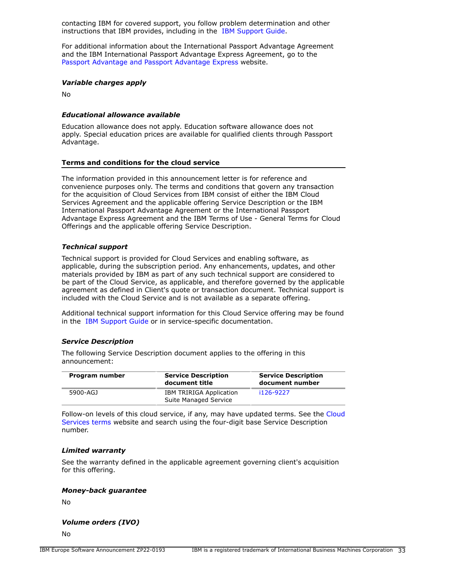contacting IBM for covered support, you follow problem determination and other instructions that IBM provides, including in the [IBM Support Guide.](http://www.ibm.com/support/customercare/sas/f/handbook/home.html)

For additional information about the International Passport Advantage Agreement and the IBM International Passport Advantage Express Agreement, go to the [Passport Advantage and Passport Advantage Express](http://www.ibm.com/software/passportadvantage) website.

#### *Variable charges apply*

No

### *Educational allowance available*

Education allowance does not apply. Education software allowance does not apply. Special education prices are available for qualified clients through Passport Advantage.

### **Terms and conditions for the cloud service**

The information provided in this announcement letter is for reference and convenience purposes only. The terms and conditions that govern any transaction for the acquisition of Cloud Services from IBM consist of either the IBM Cloud Services Agreement and the applicable offering Service Description or the IBM International Passport Advantage Agreement or the International Passport Advantage Express Agreement and the IBM Terms of Use - General Terms for Cloud Offerings and the applicable offering Service Description.

### *Technical support*

Technical support is provided for Cloud Services and enabling software, as applicable, during the subscription period. Any enhancements, updates, and other materials provided by IBM as part of any such technical support are considered to be part of the Cloud Service, as applicable, and therefore governed by the applicable agreement as defined in Client's quote or transaction document. Technical support is included with the Cloud Service and is not available as a separate offering.

Additional technical support information for this Cloud Service offering may be found in the [IBM Support Guide](http://www.ibm.com/support/customercare/sas/f/handbook/home.html) or in service-specific documentation.

#### *Service Description*

The following Service Description document applies to the offering in this announcement:

| Program number | <b>Service Description</b><br>document title            | <b>Service Description</b><br>document number |
|----------------|---------------------------------------------------------|-----------------------------------------------|
| 5900-AGJ       | <b>IBM TRIRIGA Application</b><br>Suite Managed Service | i126-9227                                     |

Follow-on levels of this cloud service, if any, may have updated terms. See the [Cloud](https://www.ibm.com/support/customer/csol/terms/) [Services terms](https://www.ibm.com/support/customer/csol/terms/) website and search using the four-digit base Service Description number.

### *Limited warranty*

See the warranty defined in the applicable agreement governing client's acquisition for this offering.

### *Money-back guarantee*

No

### *Volume orders (IVO)*

No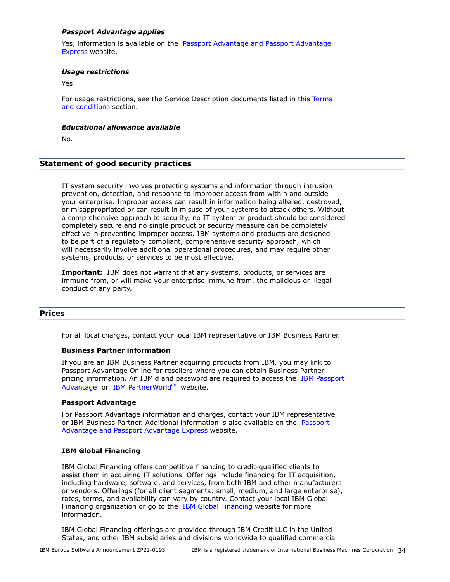# *Passport Advantage applies*

Yes, information is available on the [Passport Advantage and Passport Advantage](http://www.ibm.com/software/passportadvantage) [Express](http://www.ibm.com/software/passportadvantage) website.

### *Usage restrictions*

Yes

For usage restrictions, see the Service Description documents listed in this [Terms](#page-29-0) [and conditions](#page-29-0) section.

### *Educational allowance available*

No.

### **Statement of good security practices**

IT system security involves protecting systems and information through intrusion prevention, detection, and response to improper access from within and outside your enterprise. Improper access can result in information being altered, destroyed, or misappropriated or can result in misuse of your systems to attack others. Without a comprehensive approach to security, no IT system or product should be considered completely secure and no single product or security measure can be completely effective in preventing improper access. IBM systems and products are designed to be part of a regulatory compliant, comprehensive security approach, which will necessarily involve additional operational procedures, and may require other systems, products, or services to be most effective.

**Important:** IBM does not warrant that any systems, products, or services are immune from, or will make your enterprise immune from, the malicious or illegal conduct of any party.

### <span id="page-33-0"></span>**Prices**

For all local charges, contact your local IBM representative or IBM Business Partner.

### **Business Partner information**

If you are an IBM Business Partner acquiring products from IBM, you may link to Passport Advantage Online for resellers where you can obtain Business Partner pricing information. An IBMid and password are required to access the [IBM Passport](https://www.ibm.com/software/passportadvantage/pao_reseller.html) [Advantage](https://www.ibm.com/software/passportadvantage/pao_reseller.html) or [IBM PartnerWorld](https://www.ibm.com/partnerworld/resources/sell) $(R)$  website.

### **Passport Advantage**

For Passport Advantage information and charges, contact your IBM representative or IBM Business Partner. Additional information is also available on the [Passport](http://www.ibm.com/software/passportadvantage) [Advantage and Passport Advantage Express](http://www.ibm.com/software/passportadvantage) website.

### **IBM Global Financing**

IBM Global Financing offers competitive financing to credit-qualified clients to assist them in acquiring IT solutions. Offerings include financing for IT acquisition, including hardware, software, and services, from both IBM and other manufacturers or vendors. Offerings (for all client segments: small, medium, and large enterprise), rates, terms, and availability can vary by country. Contact your local IBM Global Financing organization or go to the [IBM Global Financing](http://www.ibm.com/financing) website for more information.

IBM Global Financing offerings are provided through IBM Credit LLC in the United States, and other IBM subsidiaries and divisions worldwide to qualified commercial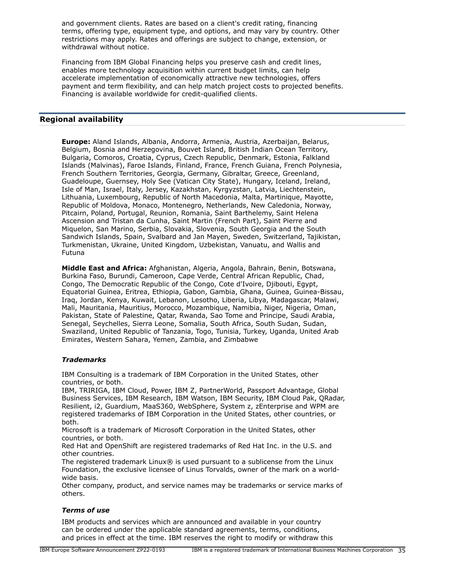and government clients. Rates are based on a client's credit rating, financing terms, offering type, equipment type, and options, and may vary by country. Other restrictions may apply. Rates and offerings are subject to change, extension, or withdrawal without notice.

Financing from IBM Global Financing helps you preserve cash and credit lines, enables more technology acquisition within current budget limits, can help accelerate implementation of economically attractive new technologies, offers payment and term flexibility, and can help match project costs to projected benefits. Financing is available worldwide for credit-qualified clients.

# <span id="page-34-0"></span>**Regional availability**

**Europe:** Aland Islands, Albania, Andorra, Armenia, Austria, Azerbaijan, Belarus, Belgium, Bosnia and Herzegovina, Bouvet Island, British Indian Ocean Territory, Bulgaria, Comoros, Croatia, Cyprus, Czech Republic, Denmark, Estonia, Falkland Islands (Malvinas), Faroe Islands, Finland, France, French Guiana, French Polynesia, French Southern Territories, Georgia, Germany, Gibraltar, Greece, Greenland, Guadeloupe, Guernsey, Holy See (Vatican City State), Hungary, Iceland, Ireland, Isle of Man, Israel, Italy, Jersey, Kazakhstan, Kyrgyzstan, Latvia, Liechtenstein, Lithuania, Luxembourg, Republic of North Macedonia, Malta, Martinique, Mayotte, Republic of Moldova, Monaco, Montenegro, Netherlands, New Caledonia, Norway, Pitcairn, Poland, Portugal, Reunion, Romania, Saint Barthelemy, Saint Helena Ascension and Tristan da Cunha, Saint Martin (French Part), Saint Pierre and Miquelon, San Marino, Serbia, Slovakia, Slovenia, South Georgia and the South Sandwich Islands, Spain, Svalbard and Jan Mayen, Sweden, Switzerland, Tajikistan, Turkmenistan, Ukraine, United Kingdom, Uzbekistan, Vanuatu, and Wallis and Futuna

**Middle East and Africa:** Afghanistan, Algeria, Angola, Bahrain, Benin, Botswana, Burkina Faso, Burundi, Cameroon, Cape Verde, Central African Republic, Chad, Congo, The Democratic Republic of the Congo, Cote d'Ivoire, Djibouti, Egypt, Equatorial Guinea, Eritrea, Ethiopia, Gabon, Gambia, Ghana, Guinea, Guinea-Bissau, Iraq, Jordan, Kenya, Kuwait, Lebanon, Lesotho, Liberia, Libya, Madagascar, Malawi, Mali, Mauritania, Mauritius, Morocco, Mozambique, Namibia, Niger, Nigeria, Oman, Pakistan, State of Palestine, Qatar, Rwanda, Sao Tome and Principe, Saudi Arabia, Senegal, Seychelles, Sierra Leone, Somalia, South Africa, South Sudan, Sudan, Swaziland, United Republic of Tanzania, Togo, Tunisia, Turkey, Uganda, United Arab Emirates, Western Sahara, Yemen, Zambia, and Zimbabwe

# *Trademarks*

IBM Consulting is a trademark of IBM Corporation in the United States, other countries, or both.

IBM, TRIRIGA, IBM Cloud, Power, IBM Z, PartnerWorld, Passport Advantage, Global Business Services, IBM Research, IBM Watson, IBM Security, IBM Cloud Pak, QRadar, Resilient, i2, Guardium, MaaS360, WebSphere, System z, zEnterprise and WPM are registered trademarks of IBM Corporation in the United States, other countries, or both.

Microsoft is a trademark of Microsoft Corporation in the United States, other countries, or both.

Red Hat and OpenShift are registered trademarks of Red Hat Inc. in the U.S. and other countries.

The registered trademark Linux® is used pursuant to a sublicense from the Linux Foundation, the exclusive licensee of Linus Torvalds, owner of the mark on a worldwide basis.

Other company, product, and service names may be trademarks or service marks of others.

# *Terms of use*

IBM products and services which are announced and available in your country can be ordered under the applicable standard agreements, terms, conditions, and prices in effect at the time. IBM reserves the right to modify or withdraw this